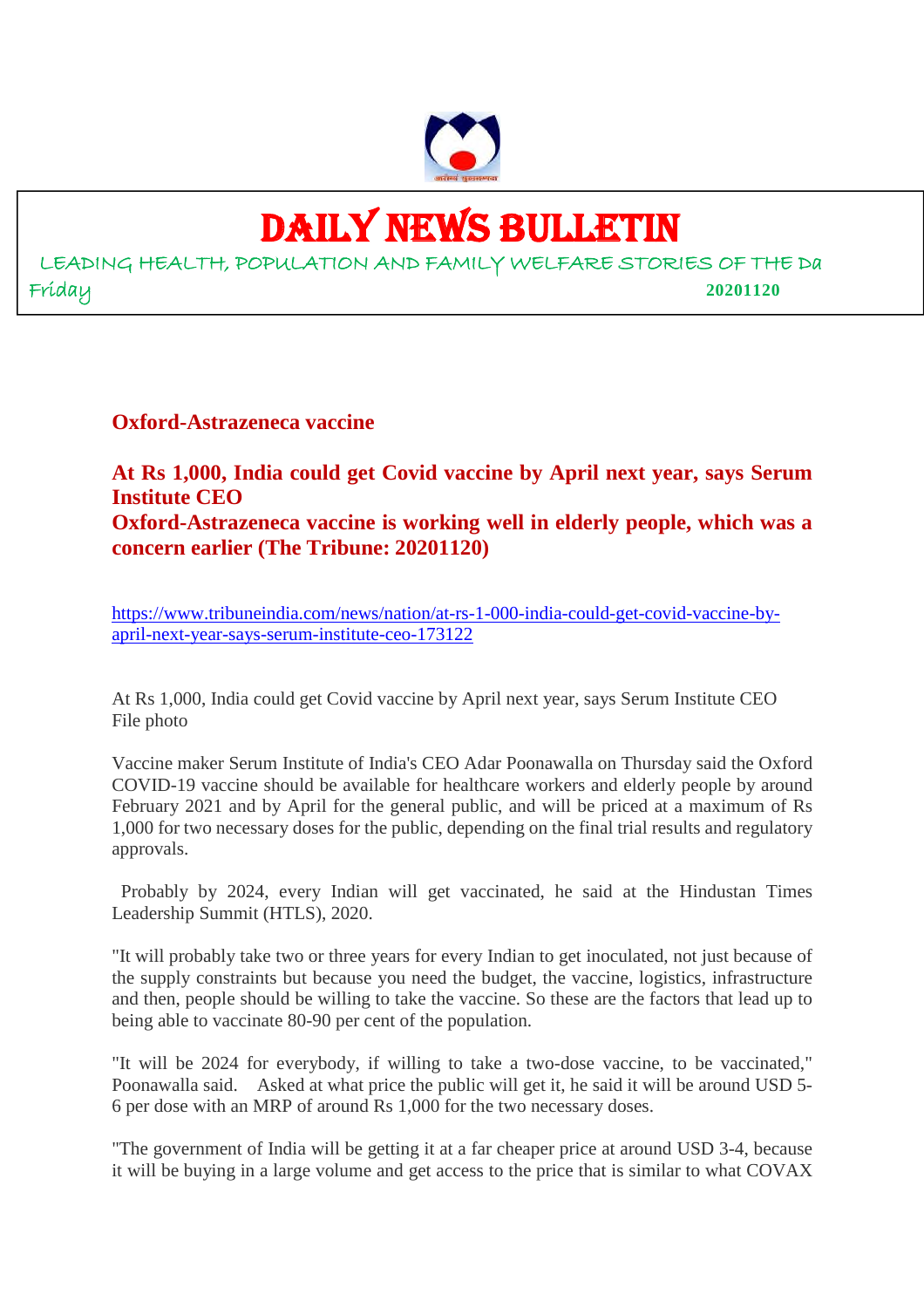

## DAILY NEWS BULLETIN

LEADING HEALTH, POPULATION AND FAMILY WELFARE STORIES OF THE Da Friday **20201120**

**Oxford-Astrazeneca vaccine**

**At Rs 1,000, India could get Covid vaccine by April next year, says Serum Institute CEO Oxford-Astrazeneca vaccine is working well in elderly people, which was a concern earlier (The Tribune: 20201120)**

https://www.tribuneindia.com/news/nation/at-rs-1-000-india-could-get-covid-vaccine-byapril-next-year-says-serum-institute-ceo-173122

At Rs 1,000, India could get Covid vaccine by April next year, says Serum Institute CEO File photo

Vaccine maker Serum Institute of India's CEO Adar Poonawalla on Thursday said the Oxford COVID-19 vaccine should be available for healthcare workers and elderly people by around February 2021 and by April for the general public, and will be priced at a maximum of Rs 1,000 for two necessary doses for the public, depending on the final trial results and regulatory approvals.

Probably by 2024, every Indian will get vaccinated, he said at the Hindustan Times Leadership Summit (HTLS), 2020.

"It will probably take two or three years for every Indian to get inoculated, not just because of the supply constraints but because you need the budget, the vaccine, logistics, infrastructure and then, people should be willing to take the vaccine. So these are the factors that lead up to being able to vaccinate 80-90 per cent of the population.

"It will be 2024 for everybody, if willing to take a two-dose vaccine, to be vaccinated," Poonawalla said. Asked at what price the public will get it, he said it will be around USD 5- 6 per dose with an MRP of around Rs 1,000 for the two necessary doses.

"The government of India will be getting it at a far cheaper price at around USD 3-4, because it will be buying in a large volume and get access to the price that is similar to what COVAX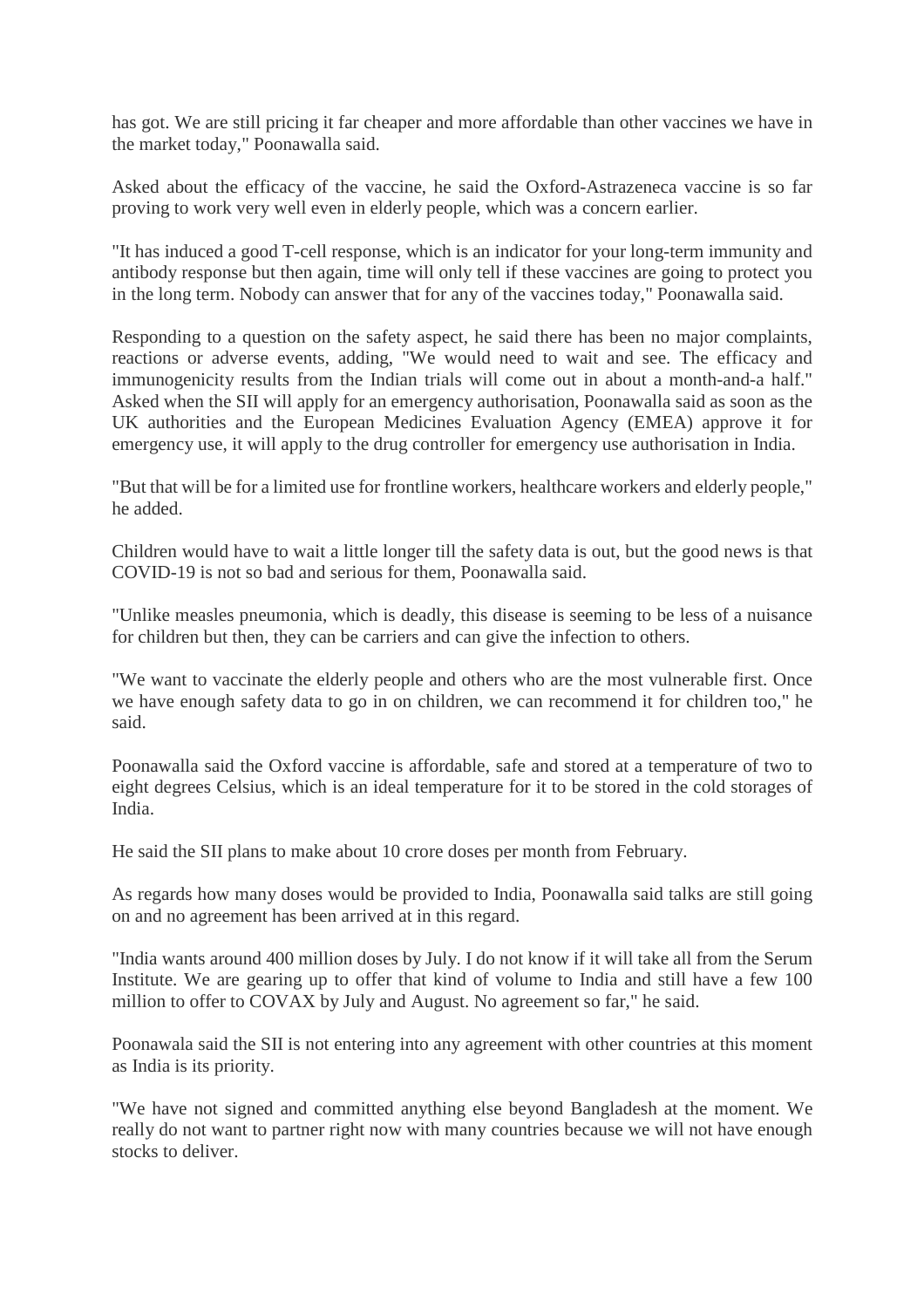has got. We are still pricing it far cheaper and more affordable than other vaccines we have in the market today," Poonawalla said.

Asked about the efficacy of the vaccine, he said the Oxford-Astrazeneca vaccine is so far proving to work very well even in elderly people, which was a concern earlier.

"It has induced a good T-cell response, which is an indicator for your long-term immunity and antibody response but then again, time will only tell if these vaccines are going to protect you in the long term. Nobody can answer that for any of the vaccines today," Poonawalla said.

Responding to a question on the safety aspect, he said there has been no major complaints, reactions or adverse events, adding, "We would need to wait and see. The efficacy and immunogenicity results from the Indian trials will come out in about a month-and-a half." Asked when the SII will apply for an emergency authorisation, Poonawalla said as soon as the UK authorities and the European Medicines Evaluation Agency (EMEA) approve it for emergency use, it will apply to the drug controller for emergency use authorisation in India.

"But that will be for a limited use for frontline workers, healthcare workers and elderly people," he added.

Children would have to wait a little longer till the safety data is out, but the good news is that COVID-19 is not so bad and serious for them, Poonawalla said.

"Unlike measles pneumonia, which is deadly, this disease is seeming to be less of a nuisance for children but then, they can be carriers and can give the infection to others.

"We want to vaccinate the elderly people and others who are the most vulnerable first. Once we have enough safety data to go in on children, we can recommend it for children too," he said.

Poonawalla said the Oxford vaccine is affordable, safe and stored at a temperature of two to eight degrees Celsius, which is an ideal temperature for it to be stored in the cold storages of India.

He said the SII plans to make about 10 crore doses per month from February.

As regards how many doses would be provided to India, Poonawalla said talks are still going on and no agreement has been arrived at in this regard.

"India wants around 400 million doses by July. I do not know if it will take all from the Serum Institute. We are gearing up to offer that kind of volume to India and still have a few 100 million to offer to COVAX by July and August. No agreement so far," he said.

Poonawala said the SII is not entering into any agreement with other countries at this moment as India is its priority.

"We have not signed and committed anything else beyond Bangladesh at the moment. We really do not want to partner right now with many countries because we will not have enough stocks to deliver.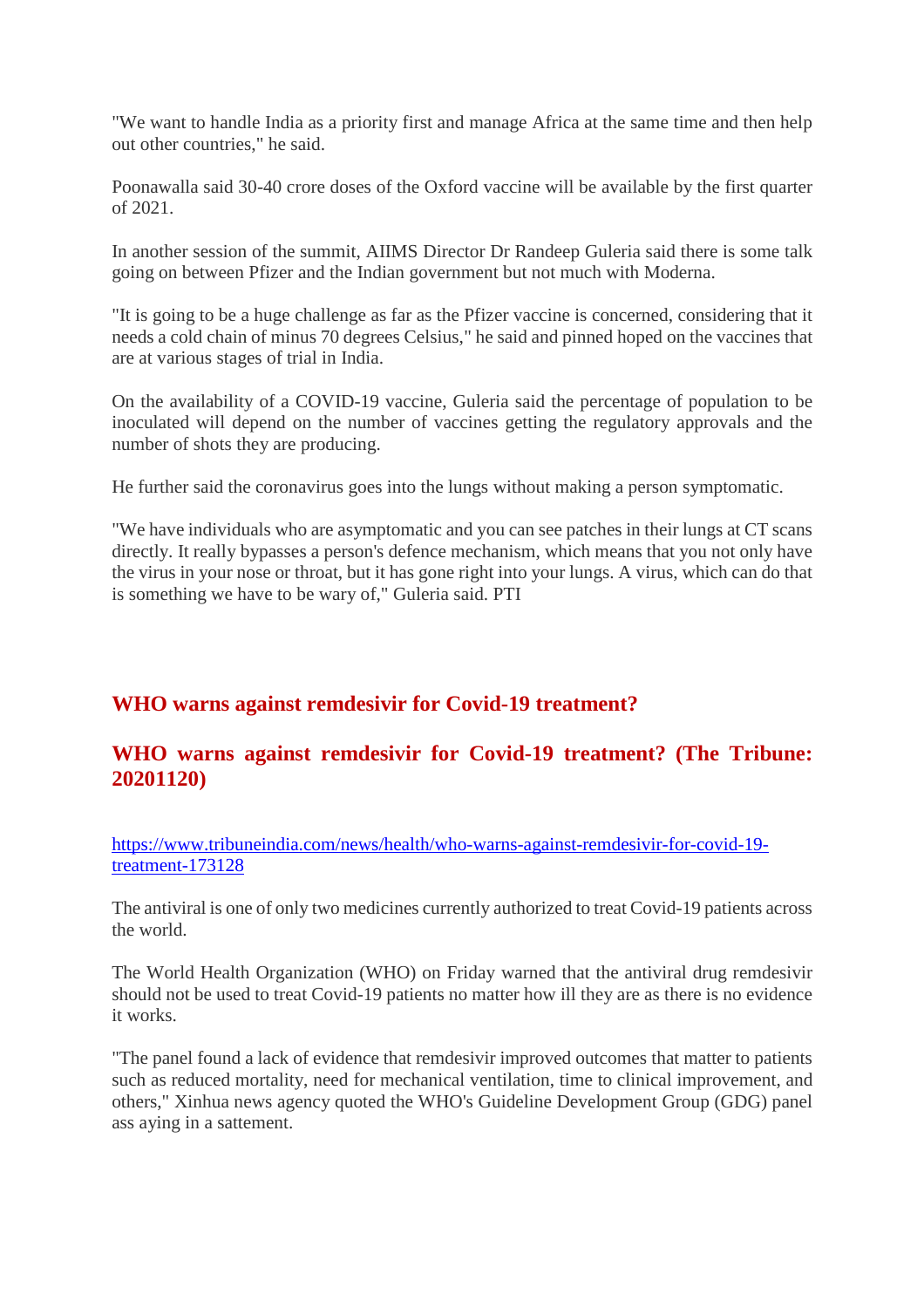"We want to handle India as a priority first and manage Africa at the same time and then help out other countries," he said.

Poonawalla said 30-40 crore doses of the Oxford vaccine will be available by the first quarter of 2021.

In another session of the summit, AIIMS Director Dr Randeep Guleria said there is some talk going on between Pfizer and the Indian government but not much with Moderna.

"It is going to be a huge challenge as far as the Pfizer vaccine is concerned, considering that it needs a cold chain of minus 70 degrees Celsius," he said and pinned hoped on the vaccines that are at various stages of trial in India.

On the availability of a COVID-19 vaccine, Guleria said the percentage of population to be inoculated will depend on the number of vaccines getting the regulatory approvals and the number of shots they are producing.

He further said the coronavirus goes into the lungs without making a person symptomatic.

"We have individuals who are asymptomatic and you can see patches in their lungs at CT scans directly. It really bypasses a person's defence mechanism, which means that you not only have the virus in your nose or throat, but it has gone right into your lungs. A virus, which can do that is something we have to be wary of," Guleria said. PTI

#### **WHO warns against remdesivir for Covid-19 treatment?**

#### **WHO warns against remdesivir for Covid-19 treatment? (The Tribune: 20201120)**

https://www.tribuneindia.com/news/health/who-warns-against-remdesivir-for-covid-19 treatment-173128

The antiviral is one of only two medicines currently authorized to treat Covid-19 patients across the world.

The World Health Organization (WHO) on Friday warned that the antiviral drug remdesivir should not be used to treat Covid-19 patients no matter how ill they are as there is no evidence it works.

"The panel found a lack of evidence that remdesivir improved outcomes that matter to patients such as reduced mortality, need for mechanical ventilation, time to clinical improvement, and others," Xinhua news agency quoted the WHO's Guideline Development Group (GDG) panel ass aying in a sattement.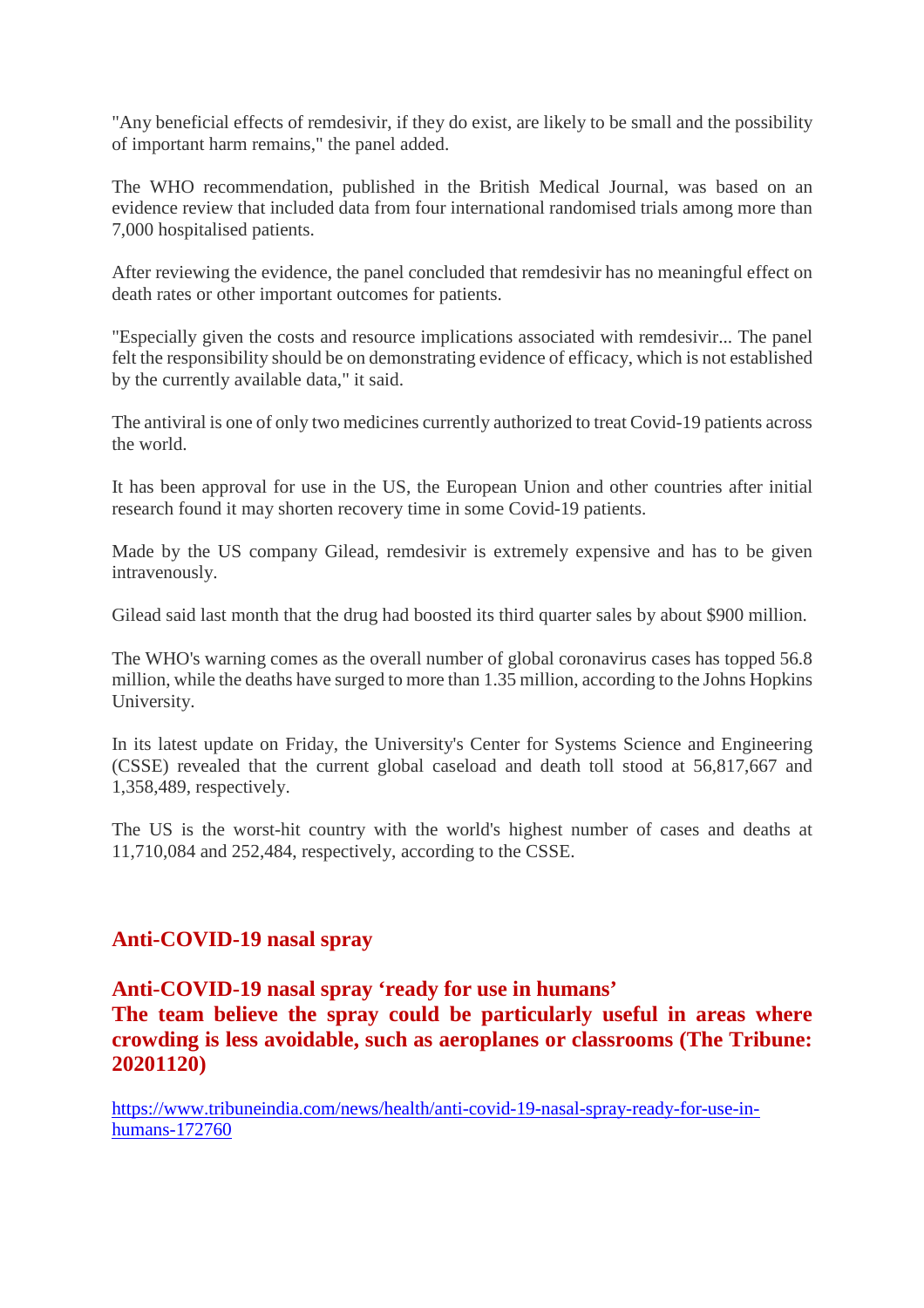"Any beneficial effects of remdesivir, if they do exist, are likely to be small and the possibility of important harm remains," the panel added.

The WHO recommendation, published in the British Medical Journal, was based on an evidence review that included data from four international randomised trials among more than 7,000 hospitalised patients.

After reviewing the evidence, the panel concluded that remdesivir has no meaningful effect on death rates or other important outcomes for patients.

"Especially given the costs and resource implications associated with remdesivir... The panel felt the responsibility should be on demonstrating evidence of efficacy, which is not established by the currently available data," it said.

The antiviral is one of only two medicines currently authorized to treat Covid-19 patients across the world.

It has been approval for use in the US, the European Union and other countries after initial research found it may shorten recovery time in some Covid-19 patients.

Made by the US company Gilead, remdesivir is extremely expensive and has to be given intravenously.

Gilead said last month that the drug had boosted its third quarter sales by about \$900 million.

The WHO's warning comes as the overall number of global coronavirus cases has topped 56.8 million, while the deaths have surged to more than 1.35 million, according to the Johns Hopkins University.

In its latest update on Friday, the University's Center for Systems Science and Engineering (CSSE) revealed that the current global caseload and death toll stood at 56,817,667 and 1,358,489, respectively.

The US is the worst-hit country with the world's highest number of cases and deaths at 11,710,084 and 252,484, respectively, according to the CSSE.

#### **Anti-COVID-19 nasal spray**

**Anti-COVID-19 nasal spray 'ready for use in humans'**

**The team believe the spray could be particularly useful in areas where crowding is less avoidable, such as aeroplanes or classrooms (The Tribune: 20201120)**

https://www.tribuneindia.com/news/health/anti-covid-19-nasal-spray-ready-for-use-inhumans-172760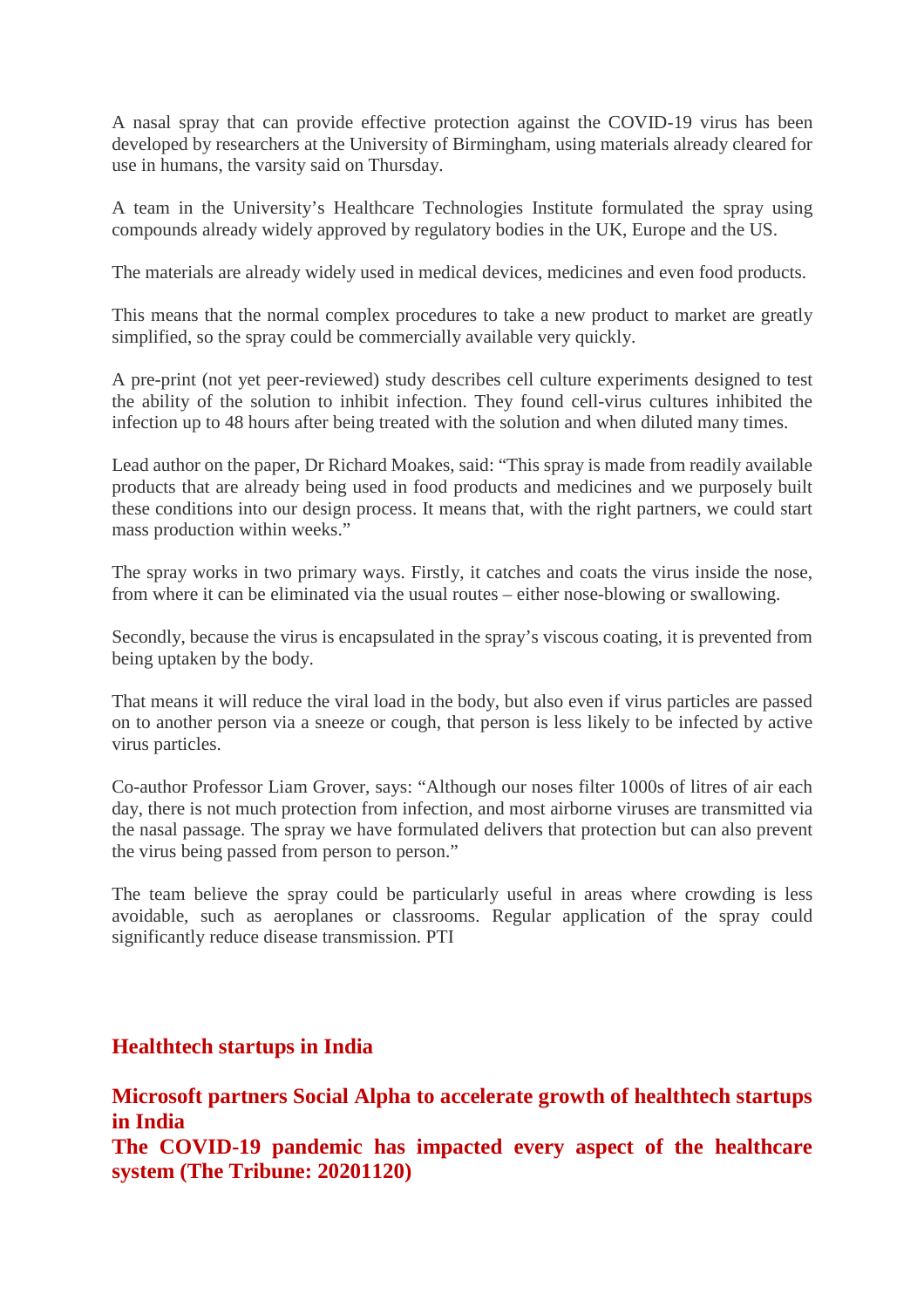A nasal spray that can provide effective protection against the COVID-19 virus has been developed by researchers at the University of Birmingham, using materials already cleared for use in humans, the varsity said on Thursday.

A team in the University's Healthcare Technologies Institute formulated the spray using compounds already widely approved by regulatory bodies in the UK, Europe and the US.

The materials are already widely used in medical devices, medicines and even food products.

This means that the normal complex procedures to take a new product to market are greatly simplified, so the spray could be commercially available very quickly.

A pre-print (not yet peer-reviewed) study describes cell culture experiments designed to test the ability of the solution to inhibit infection. They found cell-virus cultures inhibited the infection up to 48 hours after being treated with the solution and when diluted many times.

Lead author on the paper, Dr Richard Moakes, said: "This spray is made from readily available products that are already being used in food products and medicines and we purposely built these conditions into our design process. It means that, with the right partners, we could start mass production within weeks."

The spray works in two primary ways. Firstly, it catches and coats the virus inside the nose, from where it can be eliminated via the usual routes – either nose-blowing or swallowing.

Secondly, because the virus is encapsulated in the spray's viscous coating, it is prevented from being uptaken by the body.

That means it will reduce the viral load in the body, but also even if virus particles are passed on to another person via a sneeze or cough, that person is less likely to be infected by active virus particles.

Co-author Professor Liam Grover, says: "Although our noses filter 1000s of litres of air each day, there is not much protection from infection, and most airborne viruses are transmitted via the nasal passage. The spray we have formulated delivers that protection but can also prevent the virus being passed from person to person."

The team believe the spray could be particularly useful in areas where crowding is less avoidable, such as aeroplanes or classrooms. Regular application of the spray could significantly reduce disease transmission. PTI

#### **Healthtech startups in India**

**Microsoft partners Social Alpha to accelerate growth of healthtech startups in India The COVID-19 pandemic has impacted every aspect of the healthcare system (The Tribune: 20201120)**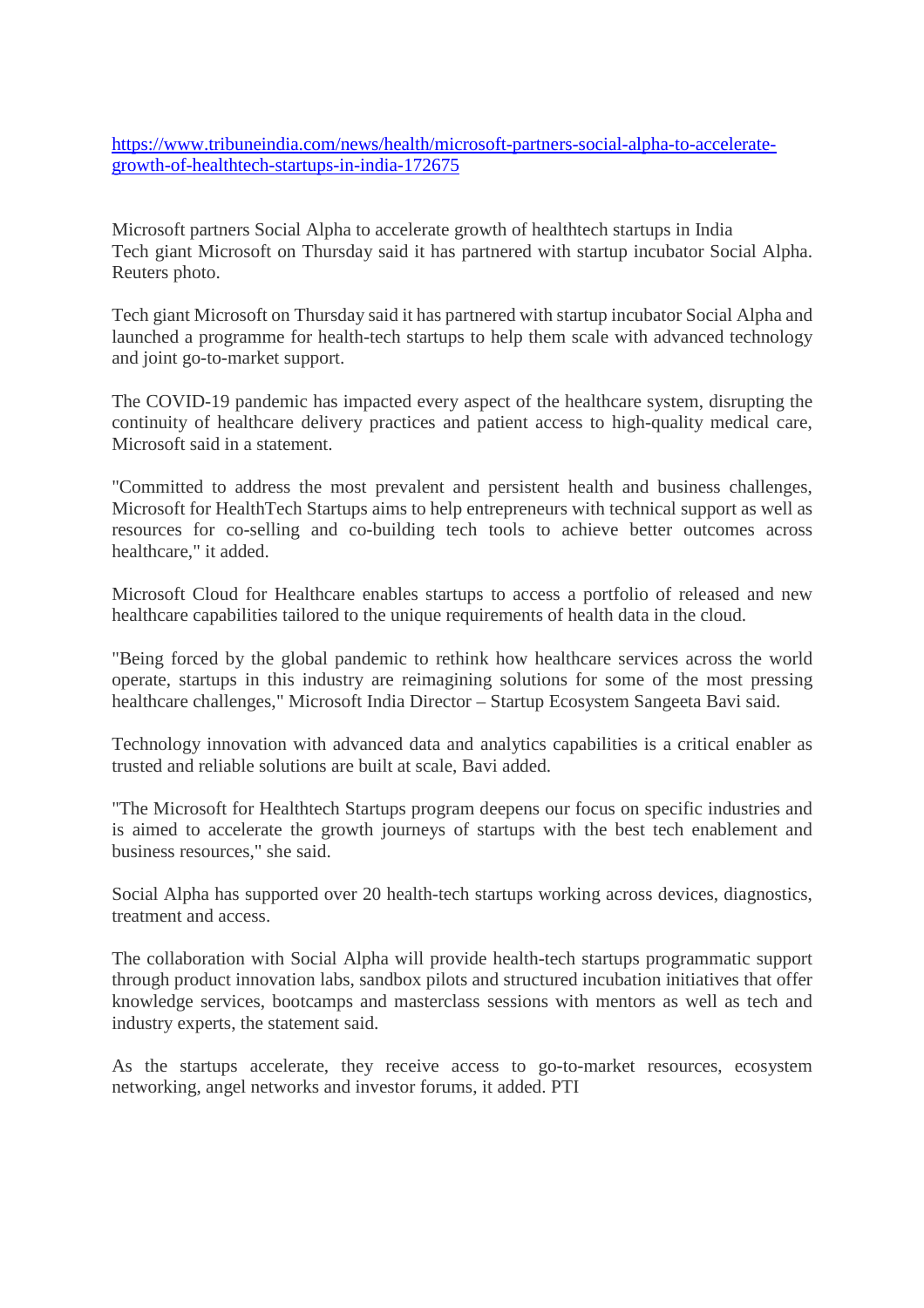https://www.tribuneindia.com/news/health/microsoft-partners-social-alpha-to-accelerategrowth-of-healthtech-startups-in-india-172675

Microsoft partners Social Alpha to accelerate growth of healthtech startups in India Tech giant Microsoft on Thursday said it has partnered with startup incubator Social Alpha. Reuters photo.

Tech giant Microsoft on Thursday said it has partnered with startup incubator Social Alpha and launched a programme for health-tech startups to help them scale with advanced technology and joint go-to-market support.

The COVID-19 pandemic has impacted every aspect of the healthcare system, disrupting the continuity of healthcare delivery practices and patient access to high-quality medical care, Microsoft said in a statement.

"Committed to address the most prevalent and persistent health and business challenges, Microsoft for HealthTech Startups aims to help entrepreneurs with technical support as well as resources for co-selling and co-building tech tools to achieve better outcomes across healthcare," it added.

Microsoft Cloud for Healthcare enables startups to access a portfolio of released and new healthcare capabilities tailored to the unique requirements of health data in the cloud.

"Being forced by the global pandemic to rethink how healthcare services across the world operate, startups in this industry are reimagining solutions for some of the most pressing healthcare challenges," Microsoft India Director – Startup Ecosystem Sangeeta Bavi said.

Technology innovation with advanced data and analytics capabilities is a critical enabler as trusted and reliable solutions are built at scale, Bavi added.

"The Microsoft for Healthtech Startups program deepens our focus on specific industries and is aimed to accelerate the growth journeys of startups with the best tech enablement and business resources," she said.

Social Alpha has supported over 20 health-tech startups working across devices, diagnostics, treatment and access.

The collaboration with Social Alpha will provide health-tech startups programmatic support through product innovation labs, sandbox pilots and structured incubation initiatives that offer knowledge services, bootcamps and masterclass sessions with mentors as well as tech and industry experts, the statement said.

As the startups accelerate, they receive access to go-to-market resources, ecosystem networking, angel networks and investor forums, it added. PTI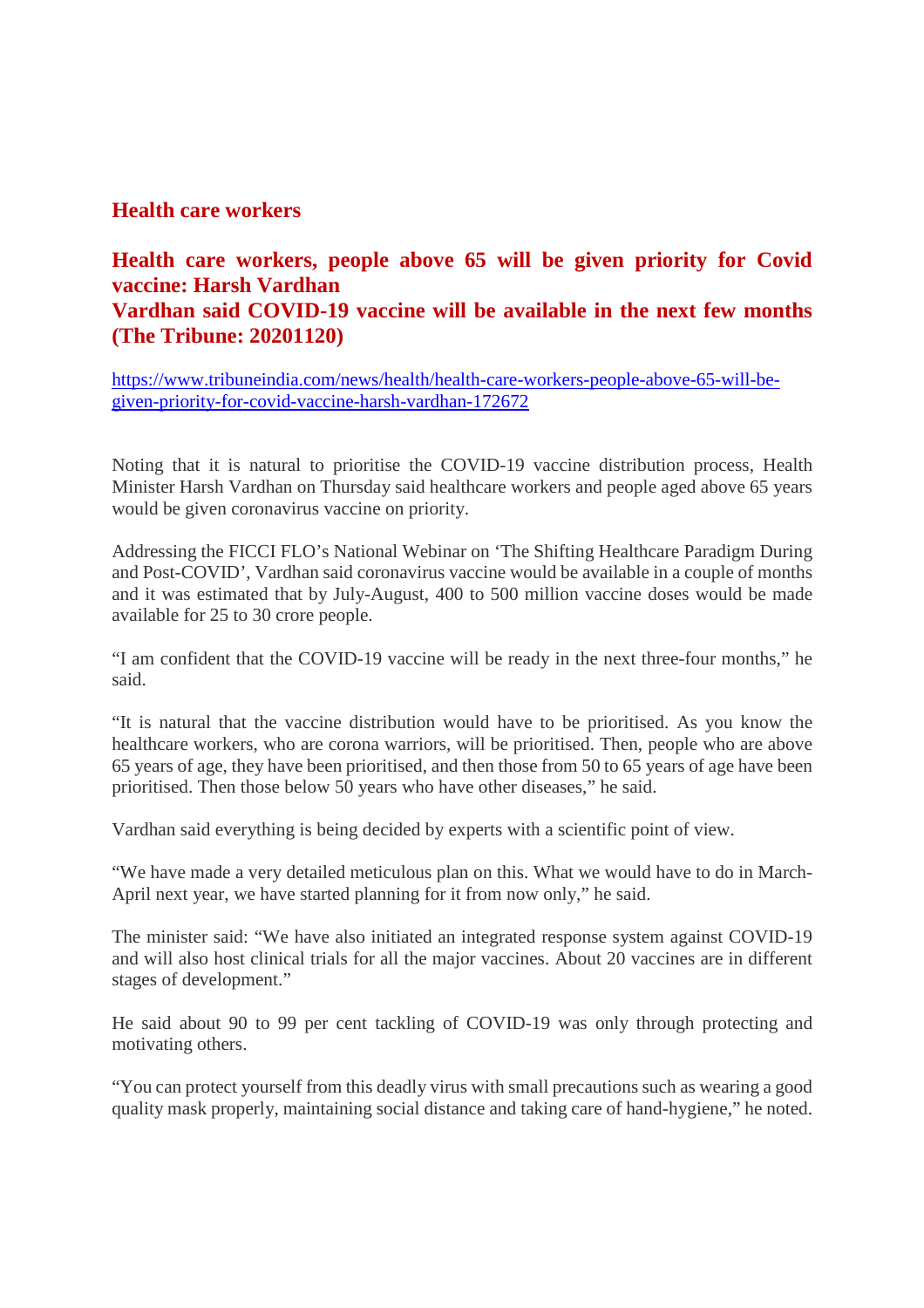#### **Health care workers**

#### **Health care workers, people above 65 will be given priority for Covid vaccine: Harsh Vardhan Vardhan said COVID-19 vaccine will be available in the next few months (The Tribune: 20201120)**

https://www.tribuneindia.com/news/health/health-care-workers-people-above-65-will-begiven-priority-for-covid-vaccine-harsh-vardhan-172672

Noting that it is natural to prioritise the COVID-19 vaccine distribution process, Health Minister Harsh Vardhan on Thursday said healthcare workers and people aged above 65 years would be given coronavirus vaccine on priority.

Addressing the FICCI FLO's National Webinar on 'The Shifting Healthcare Paradigm During and Post-COVID', Vardhan said coronavirus vaccine would be available in a couple of months and it was estimated that by July-August, 400 to 500 million vaccine doses would be made available for 25 to 30 crore people.

"I am confident that the COVID-19 vaccine will be ready in the next three-four months," he said.

"It is natural that the vaccine distribution would have to be prioritised. As you know the healthcare workers, who are corona warriors, will be prioritised. Then, people who are above 65 years of age, they have been prioritised, and then those from 50 to 65 years of age have been prioritised. Then those below 50 years who have other diseases," he said.

Vardhan said everything is being decided by experts with a scientific point of view.

"We have made a very detailed meticulous plan on this. What we would have to do in March-April next year, we have started planning for it from now only," he said.

The minister said: "We have also initiated an integrated response system against COVID-19 and will also host clinical trials for all the major vaccines. About 20 vaccines are in different stages of development."

He said about 90 to 99 per cent tackling of COVID-19 was only through protecting and motivating others.

"You can protect yourself from this deadly virus with small precautions such as wearing a good quality mask properly, maintaining social distance and taking care of hand-hygiene," he noted.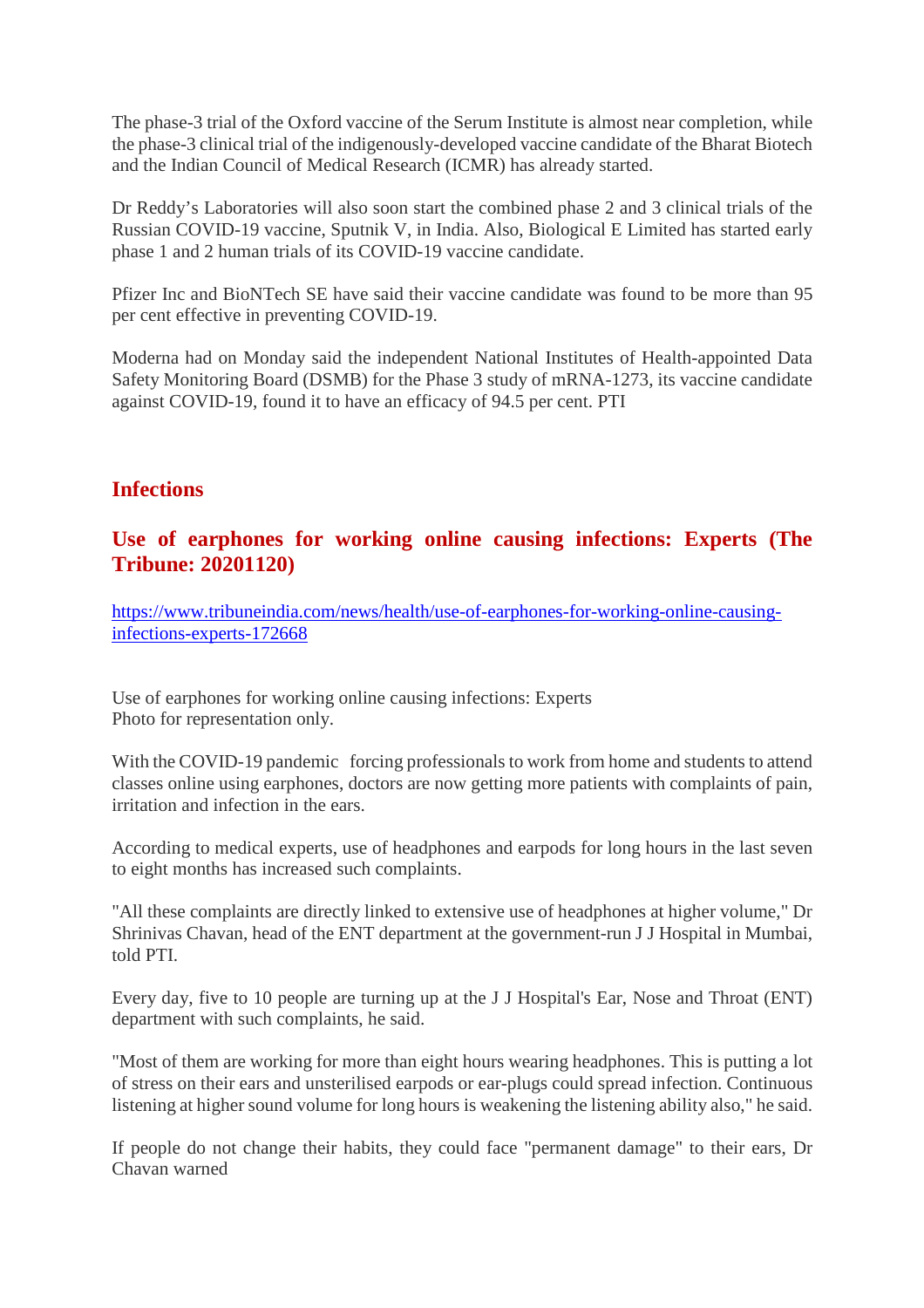The phase-3 trial of the Oxford vaccine of the Serum Institute is almost near completion, while the phase-3 clinical trial of the indigenously-developed vaccine candidate of the Bharat Biotech and the Indian Council of Medical Research (ICMR) has already started.

Dr Reddy's Laboratories will also soon start the combined phase 2 and 3 clinical trials of the Russian COVID-19 vaccine, Sputnik V, in India. Also, Biological E Limited has started early phase 1 and 2 human trials of its COVID-19 vaccine candidate.

Pfizer Inc and BioNTech SE have said their vaccine candidate was found to be more than 95 per cent effective in preventing COVID-19.

Moderna had on Monday said the independent National Institutes of Health-appointed Data Safety Monitoring Board (DSMB) for the Phase 3 study of mRNA-1273, its vaccine candidate against COVID-19, found it to have an efficacy of 94.5 per cent. PTI

#### **Infections**

#### **Use of earphones for working online causing infections: Experts (The Tribune: 20201120)**

https://www.tribuneindia.com/news/health/use-of-earphones-for-working-online-causinginfections-experts-172668

Use of earphones for working online causing infections: Experts Photo for representation only.

With the COVID-19 pandemic forcing professionals to work from home and students to attend classes online using earphones, doctors are now getting more patients with complaints of pain, irritation and infection in the ears.

According to medical experts, use of headphones and earpods for long hours in the last seven to eight months has increased such complaints.

"All these complaints are directly linked to extensive use of headphones at higher volume," Dr Shrinivas Chavan, head of the ENT department at the government-run J J Hospital in Mumbai, told PTI.

Every day, five to 10 people are turning up at the J J Hospital's Ear, Nose and Throat (ENT) department with such complaints, he said.

"Most of them are working for more than eight hours wearing headphones. This is putting a lot of stress on their ears and unsterilised earpods or ear-plugs could spread infection. Continuous listening at higher sound volume for long hours is weakening the listening ability also," he said.

If people do not change their habits, they could face "permanent damage" to their ears, Dr Chavan warned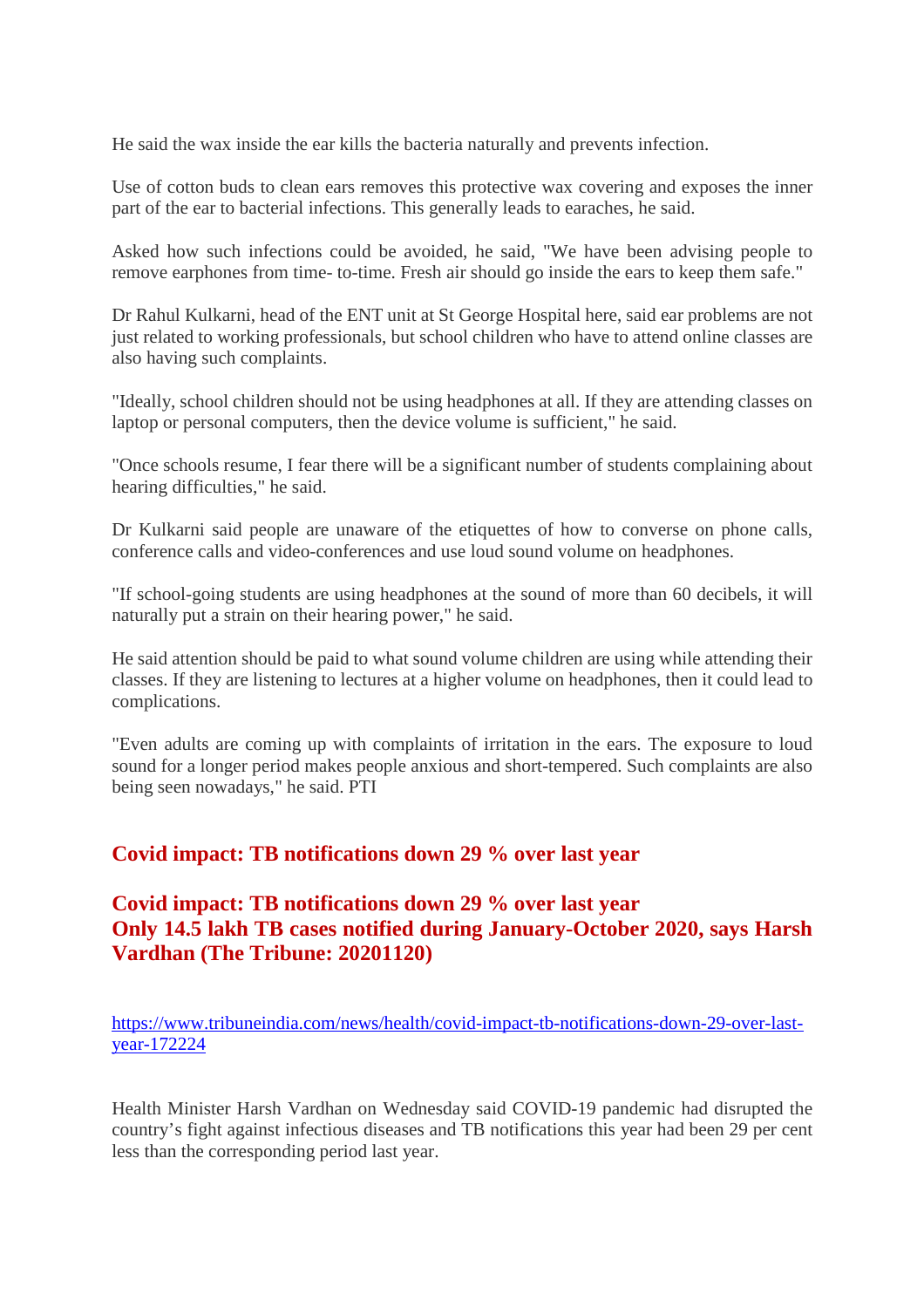He said the wax inside the ear kills the bacteria naturally and prevents infection.

Use of cotton buds to clean ears removes this protective wax covering and exposes the inner part of the ear to bacterial infections. This generally leads to earaches, he said.

Asked how such infections could be avoided, he said, "We have been advising people to remove earphones from time- to-time. Fresh air should go inside the ears to keep them safe."

Dr Rahul Kulkarni, head of the ENT unit at St George Hospital here, said ear problems are not just related to working professionals, but school children who have to attend online classes are also having such complaints.

"Ideally, school children should not be using headphones at all. If they are attending classes on laptop or personal computers, then the device volume is sufficient," he said.

"Once schools resume, I fear there will be a significant number of students complaining about hearing difficulties," he said.

Dr Kulkarni said people are unaware of the etiquettes of how to converse on phone calls, conference calls and video-conferences and use loud sound volume on headphones.

"If school-going students are using headphones at the sound of more than 60 decibels, it will naturally put a strain on their hearing power," he said.

He said attention should be paid to what sound volume children are using while attending their classes. If they are listening to lectures at a higher volume on headphones, then it could lead to complications.

"Even adults are coming up with complaints of irritation in the ears. The exposure to loud sound for a longer period makes people anxious and short-tempered. Such complaints are also being seen nowadays," he said. PTI

#### **Covid impact: TB notifications down 29 % over last year**

#### **Covid impact: TB notifications down 29 % over last year Only 14.5 lakh TB cases notified during January-October 2020, says Harsh Vardhan (The Tribune: 20201120)**

https://www.tribuneindia.com/news/health/covid-impact-tb-notifications-down-29-over-lastyear-172224

Health Minister Harsh Vardhan on Wednesday said COVID-19 pandemic had disrupted the country's fight against infectious diseases and TB notifications this year had been 29 per cent less than the corresponding period last year.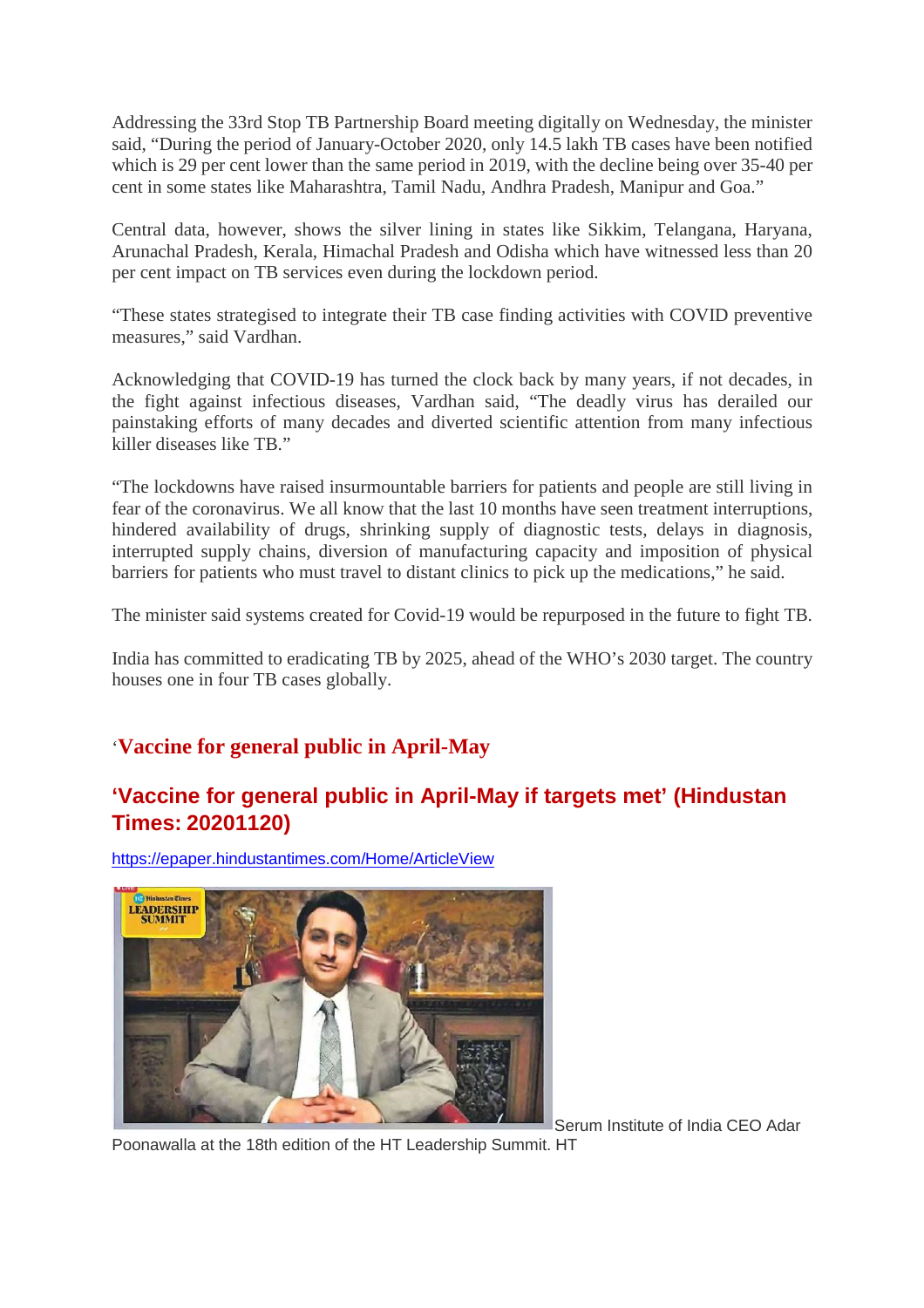Addressing the 33rd Stop TB Partnership Board meeting digitally on Wednesday, the minister said, "During the period of January-October 2020, only 14.5 lakh TB cases have been notified which is 29 per cent lower than the same period in 2019, with the decline being over 35-40 per cent in some states like Maharashtra, Tamil Nadu, Andhra Pradesh, Manipur and Goa."

Central data, however, shows the silver lining in states like Sikkim, Telangana, Haryana, Arunachal Pradesh, Kerala, Himachal Pradesh and Odisha which have witnessed less than 20 per cent impact on TB services even during the lockdown period.

"These states strategised to integrate their TB case finding activities with COVID preventive measures," said Vardhan.

Acknowledging that COVID-19 has turned the clock back by many years, if not decades, in the fight against infectious diseases, Vardhan said, "The deadly virus has derailed our painstaking efforts of many decades and diverted scientific attention from many infectious killer diseases like TB."

"The lockdowns have raised insurmountable barriers for patients and people are still living in fear of the coronavirus. We all know that the last 10 months have seen treatment interruptions, hindered availability of drugs, shrinking supply of diagnostic tests, delays in diagnosis, interrupted supply chains, diversion of manufacturing capacity and imposition of physical barriers for patients who must travel to distant clinics to pick up the medications," he said.

The minister said systems created for Covid-19 would be repurposed in the future to fight TB.

India has committed to eradicating TB by 2025, ahead of the WHO's 2030 target. The country houses one in four TB cases globally.

#### '**Vaccine for general public in April-May**

#### **'Vaccine for general public in April-May if targets met' (Hindustan Times: 20201120)**

https://epaper.hindustantimes.com/Home/ArticleView



Serum Institute of India CEO Adar

Poonawalla at the 18th edition of the HT Leadership Summit. HT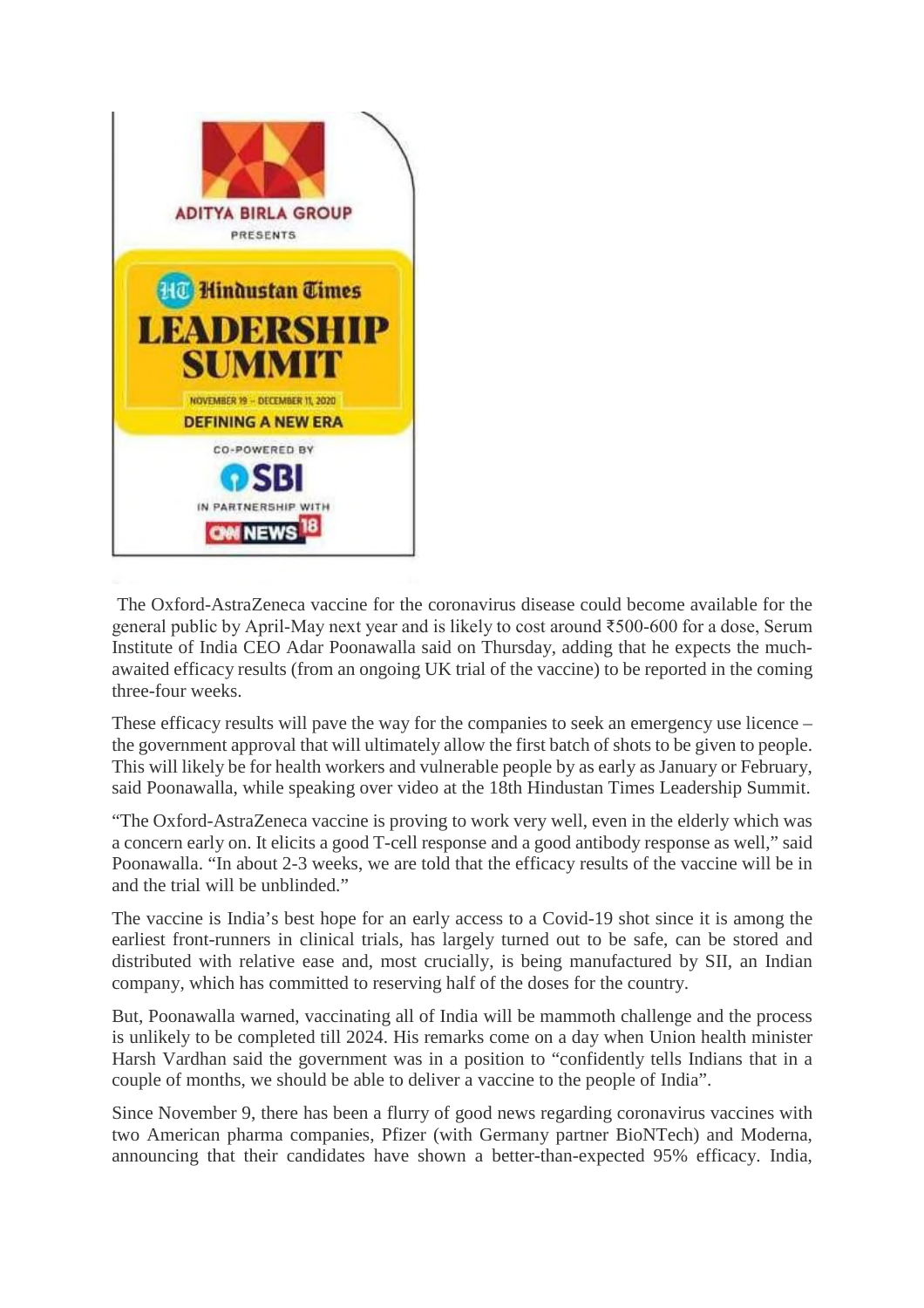

The Oxford-AstraZeneca vaccine for the coronavirus disease could become available for the general public by April-May next year and is likely to cost around ₹500-600 for a dose, Serum Institute of India CEO Adar Poonawalla said on Thursday, adding that he expects the muchawaited efficacy results (from an ongoing UK trial of the vaccine) to be reported in the coming three-four weeks.

These efficacy results will pave the way for the companies to seek an emergency use licence – the government approval that will ultimately allow the first batch of shots to be given to people. This will likely be for health workers and vulnerable people by as early as January or February, said Poonawalla, while speaking over video at the 18th Hindustan Times Leadership Summit.

"The Oxford-AstraZeneca vaccine is proving to work very well, even in the elderly which was a concern early on. It elicits a good T-cell response and a good antibody response as well," said Poonawalla. "In about 2-3 weeks, we are told that the efficacy results of the vaccine will be in and the trial will be unblinded."

The vaccine is India's best hope for an early access to a Covid-19 shot since it is among the earliest front-runners in clinical trials, has largely turned out to be safe, can be stored and distributed with relative ease and, most crucially, is being manufactured by SII, an Indian company, which has committed to reserving half of the doses for the country.

But, Poonawalla warned, vaccinating all of India will be mammoth challenge and the process is unlikely to be completed till 2024. His remarks come on a day when Union health minister Harsh Vardhan said the government was in a position to "confidently tells Indians that in a couple of months, we should be able to deliver a vaccine to the people of India".

Since November 9, there has been a flurry of good news regarding coronavirus vaccines with two American pharma companies, Pfizer (with Germany partner BioNTech) and Moderna, announcing that their candidates have shown a better-than-expected 95% efficacy. India,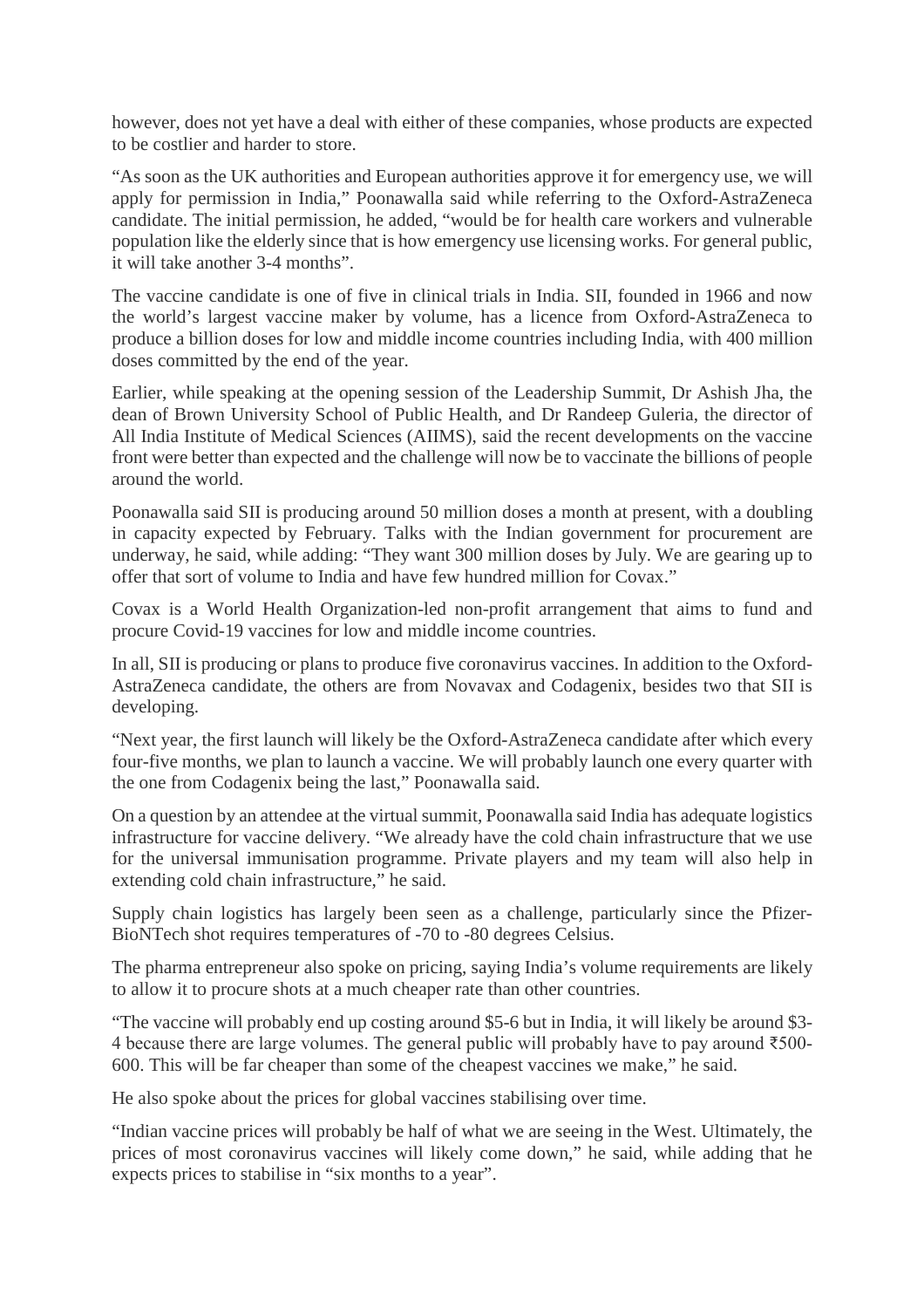however, does not yet have a deal with either of these companies, whose products are expected to be costlier and harder to store.

"As soon as the UK authorities and European authorities approve it for emergency use, we will apply for permission in India," Poonawalla said while referring to the Oxford-AstraZeneca candidate. The initial permission, he added, "would be for health care workers and vulnerable population like the elderly since that is how emergency use licensing works. For general public, it will take another 3-4 months".

The vaccine candidate is one of five in clinical trials in India. SII, founded in 1966 and now the world's largest vaccine maker by volume, has a licence from Oxford-AstraZeneca to produce a billion doses for low and middle income countries including India, with 400 million doses committed by the end of the year.

Earlier, while speaking at the opening session of the Leadership Summit, Dr Ashish Jha, the dean of Brown University School of Public Health, and Dr Randeep Guleria, the director of All India Institute of Medical Sciences (AIIMS), said the recent developments on the vaccine front were better than expected and the challenge will now be to vaccinate the billions of people around the world.

Poonawalla said SII is producing around 50 million doses a month at present, with a doubling in capacity expected by February. Talks with the Indian government for procurement are underway, he said, while adding: "They want 300 million doses by July. We are gearing up to offer that sort of volume to India and have few hundred million for Covax."

Covax is a World Health Organization-led non-profit arrangement that aims to fund and procure Covid-19 vaccines for low and middle income countries.

In all, SII is producing or plans to produce five coronavirus vaccines. In addition to the Oxford-AstraZeneca candidate, the others are from Novavax and Codagenix, besides two that SII is developing.

"Next year, the first launch will likely be the Oxford-AstraZeneca candidate after which every four-five months, we plan to launch a vaccine. We will probably launch one every quarter with the one from Codagenix being the last," Poonawalla said.

On a question by an attendee at the virtual summit, Poonawalla said India has adequate logistics infrastructure for vaccine delivery. "We already have the cold chain infrastructure that we use for the universal immunisation programme. Private players and my team will also help in extending cold chain infrastructure," he said.

Supply chain logistics has largely been seen as a challenge, particularly since the Pfizer-BioNTech shot requires temperatures of -70 to -80 degrees Celsius.

The pharma entrepreneur also spoke on pricing, saying India's volume requirements are likely to allow it to procure shots at a much cheaper rate than other countries.

"The vaccine will probably end up costing around \$5-6 but in India, it will likely be around \$3- 4 because there are large volumes. The general public will probably have to pay around ₹500- 600. This will be far cheaper than some of the cheapest vaccines we make," he said.

He also spoke about the prices for global vaccines stabilising over time.

"Indian vaccine prices will probably be half of what we are seeing in the West. Ultimately, the prices of most coronavirus vaccines will likely come down," he said, while adding that he expects prices to stabilise in "six months to a year".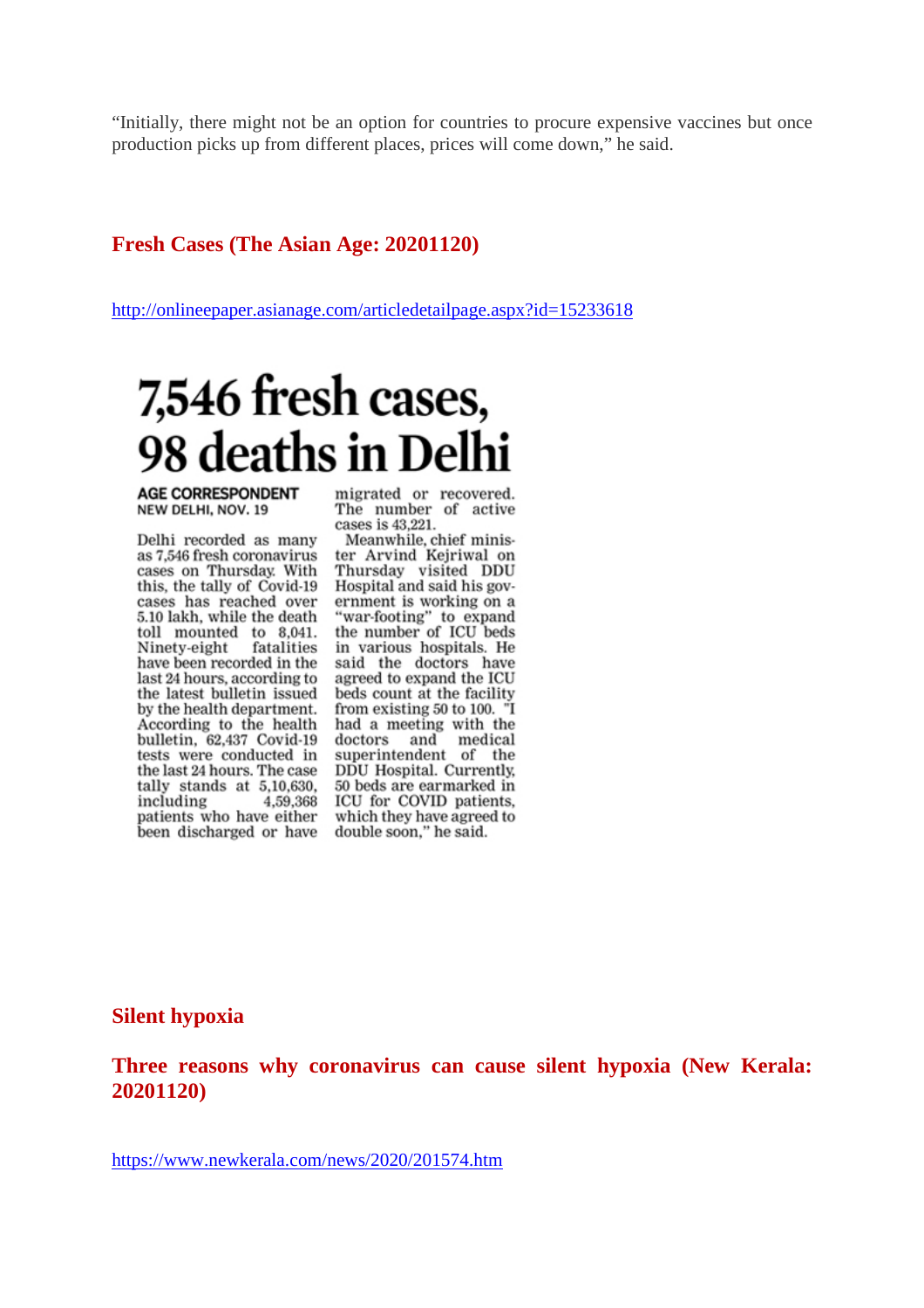"Initially, there might not be an option for countries to procure expensive vaccines but once production picks up from different places, prices will come down," he said.

#### **Fresh Cases (The Asian Age: 20201120)**

http://onlineepaper.asianage.com/articledetailpage.aspx?id=15233618

# 7,546 fresh cases, 98 deaths in Delhi

**AGE CORRESPONDENT** NEW DELHI, NOV. 19

Delhi recorded as many as 7,546 fresh coronavirus cases on Thursday. With this, the tally of Covid-19 cases has reached over 5.10 lakh, while the death toll mounted to 8,041. Ninety-eight fatalities have been recorded in the last 24 hours, according to the latest bulletin issued by the health department. According to the health bulletin, 62,437 Covid-19 tests were conducted in the last 24 hours. The case tally stands at 5,10,630, including 4,59,368 patients who have either been discharged or have

migrated or recovered. The number of active cases is 43,221.

Meanwhile, chief minister Arvind Kejriwal on Thursday visited DDU Hospital and said his government is working on a "war-footing" to expand the number of ICU beds in various hospitals. He said the doctors have agreed to expand the ICU beds count at the facility from existing 50 to 100. "I had a meeting with the doctors and medical<br>superintendent of the DDU Hospital. Currently, 50 beds are earmarked in ICU for COVID patients, which they have agreed to double soon," he said.

#### **Silent hypoxia**

**Three reasons why coronavirus can cause silent hypoxia (New Kerala: 20201120)**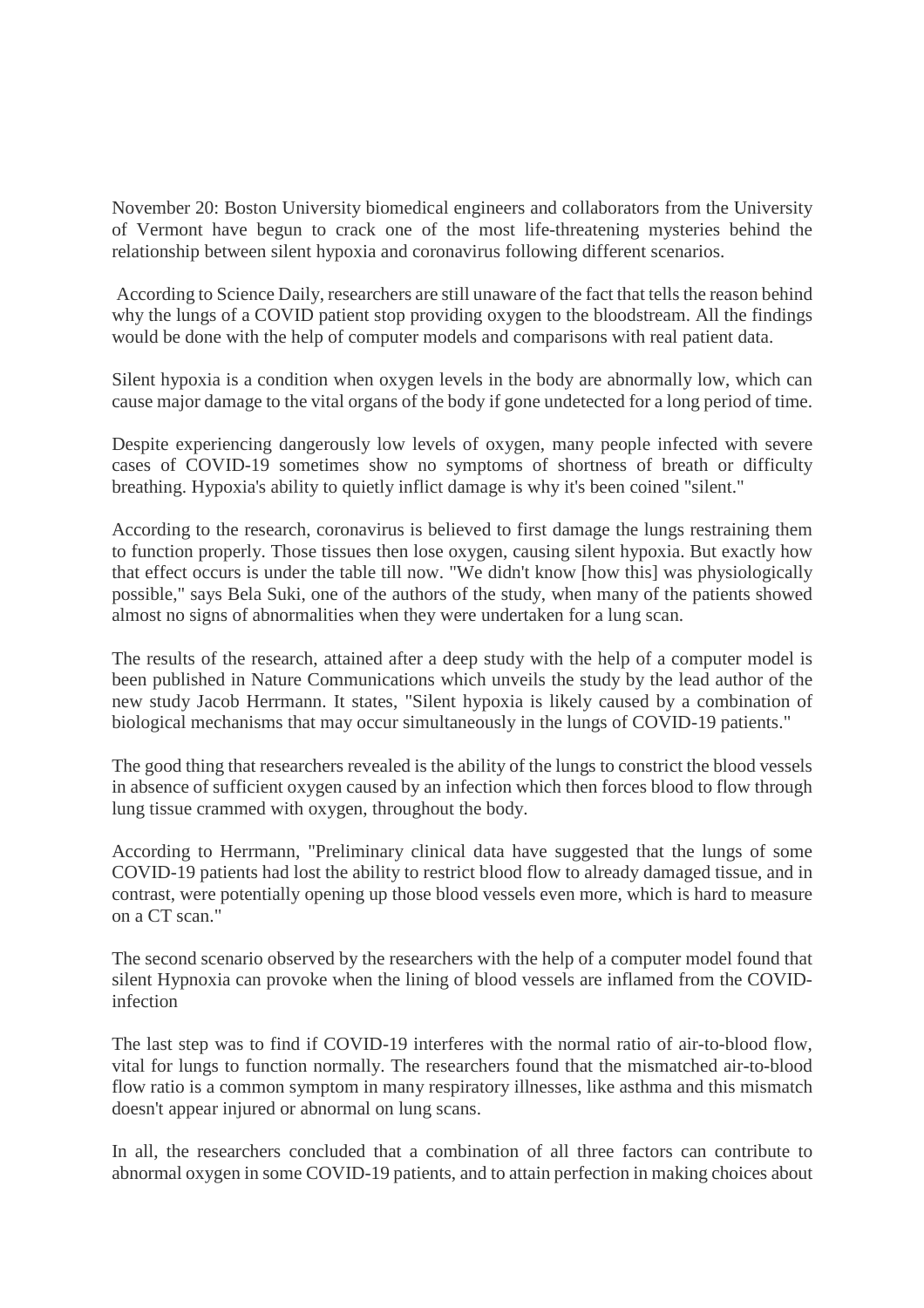November 20: Boston University biomedical engineers and collaborators from the University of Vermont have begun to crack one of the most life-threatening mysteries behind the relationship between silent hypoxia and coronavirus following different scenarios.

According to Science Daily, researchers are still unaware of the fact that tells the reason behind why the lungs of a COVID patient stop providing oxygen to the bloodstream. All the findings would be done with the help of computer models and comparisons with real patient data.

Silent hypoxia is a condition when oxygen levels in the body are abnormally low, which can cause major damage to the vital organs of the body if gone undetected for a long period of time.

Despite experiencing dangerously low levels of oxygen, many people infected with severe cases of COVID-19 sometimes show no symptoms of shortness of breath or difficulty breathing. Hypoxia's ability to quietly inflict damage is why it's been coined "silent."

According to the research, coronavirus is believed to first damage the lungs restraining them to function properly. Those tissues then lose oxygen, causing silent hypoxia. But exactly how that effect occurs is under the table till now. "We didn't know [how this] was physiologically possible," says Bela Suki, one of the authors of the study, when many of the patients showed almost no signs of abnormalities when they were undertaken for a lung scan.

The results of the research, attained after a deep study with the help of a computer model is been published in Nature Communications which unveils the study by the lead author of the new study Jacob Herrmann. It states, "Silent hypoxia is likely caused by a combination of biological mechanisms that may occur simultaneously in the lungs of COVID-19 patients."

The good thing that researchers revealed is the ability of the lungs to constrict the blood vessels in absence of sufficient oxygen caused by an infection which then forces blood to flow through lung tissue crammed with oxygen, throughout the body.

According to Herrmann, "Preliminary clinical data have suggested that the lungs of some COVID-19 patients had lost the ability to restrict blood flow to already damaged tissue, and in contrast, were potentially opening up those blood vessels even more, which is hard to measure on a CT scan."

The second scenario observed by the researchers with the help of a computer model found that silent Hypnoxia can provoke when the lining of blood vessels are inflamed from the COVIDinfection

The last step was to find if COVID-19 interferes with the normal ratio of air-to-blood flow, vital for lungs to function normally. The researchers found that the mismatched air-to-blood flow ratio is a common symptom in many respiratory illnesses, like asthma and this mismatch doesn't appear injured or abnormal on lung scans.

In all, the researchers concluded that a combination of all three factors can contribute to abnormal oxygen in some COVID-19 patients, and to attain perfection in making choices about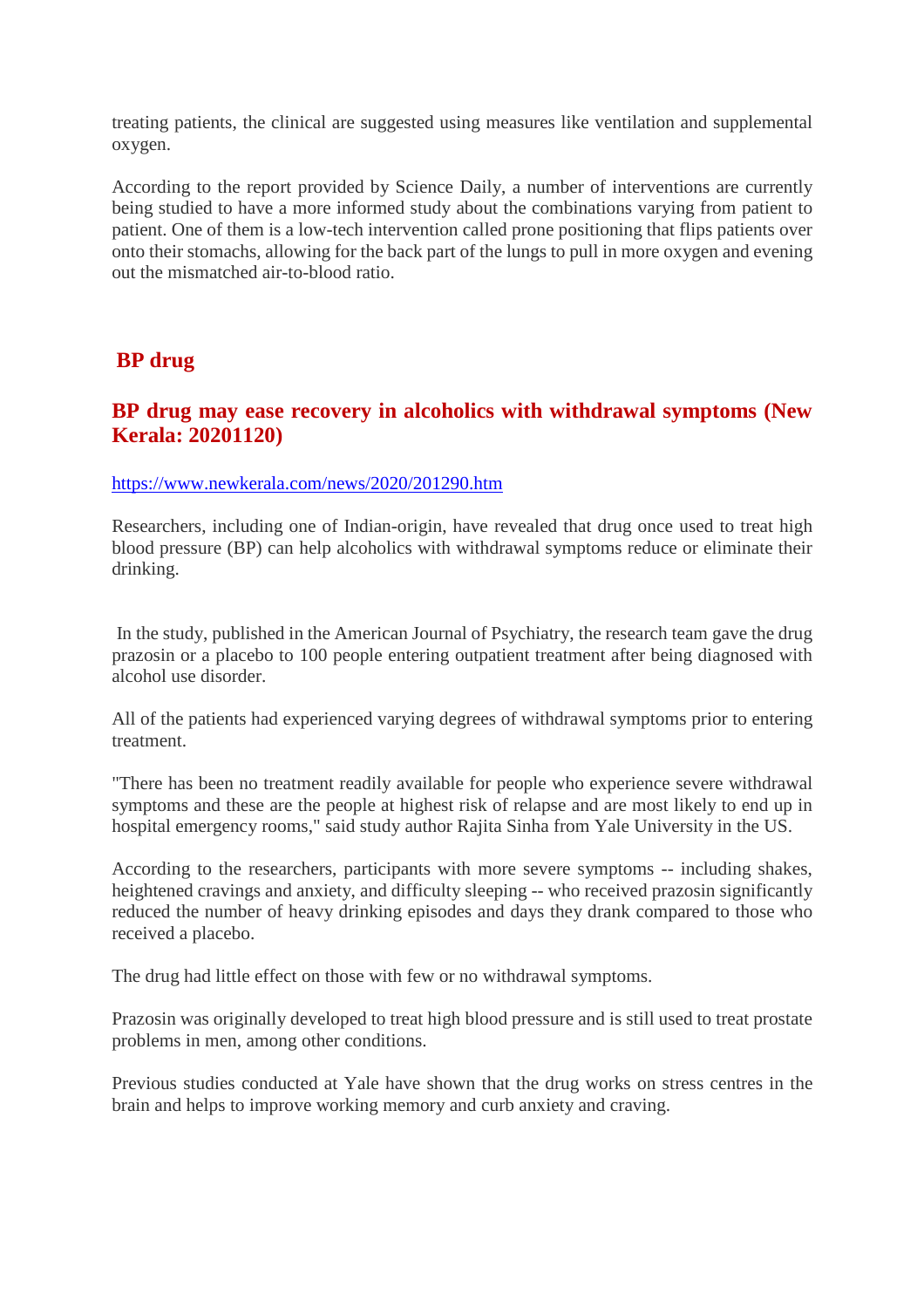treating patients, the clinical are suggested using measures like ventilation and supplemental oxygen.

According to the report provided by Science Daily, a number of interventions are currently being studied to have a more informed study about the combinations varying from patient to patient. One of them is a low-tech intervention called prone positioning that flips patients over onto their stomachs, allowing for the back part of the lungs to pull in more oxygen and evening out the mismatched air-to-blood ratio.

#### **BP drug**

#### **BP drug may ease recovery in alcoholics with withdrawal symptoms (New Kerala: 20201120)**

#### https://www.newkerala.com/news/2020/201290.htm

Researchers, including one of Indian-origin, have revealed that drug once used to treat high blood pressure (BP) can help alcoholics with withdrawal symptoms reduce or eliminate their drinking.

In the study, published in the American Journal of Psychiatry, the research team gave the drug prazosin or a placebo to 100 people entering outpatient treatment after being diagnosed with alcohol use disorder.

All of the patients had experienced varying degrees of withdrawal symptoms prior to entering treatment.

"There has been no treatment readily available for people who experience severe withdrawal symptoms and these are the people at highest risk of relapse and are most likely to end up in hospital emergency rooms," said study author Rajita Sinha from Yale University in the US.

According to the researchers, participants with more severe symptoms -- including shakes, heightened cravings and anxiety, and difficulty sleeping -- who received prazosin significantly reduced the number of heavy drinking episodes and days they drank compared to those who received a placebo.

The drug had little effect on those with few or no withdrawal symptoms.

Prazosin was originally developed to treat high blood pressure and is still used to treat prostate problems in men, among other conditions.

Previous studies conducted at Yale have shown that the drug works on stress centres in the brain and helps to improve working memory and curb anxiety and craving.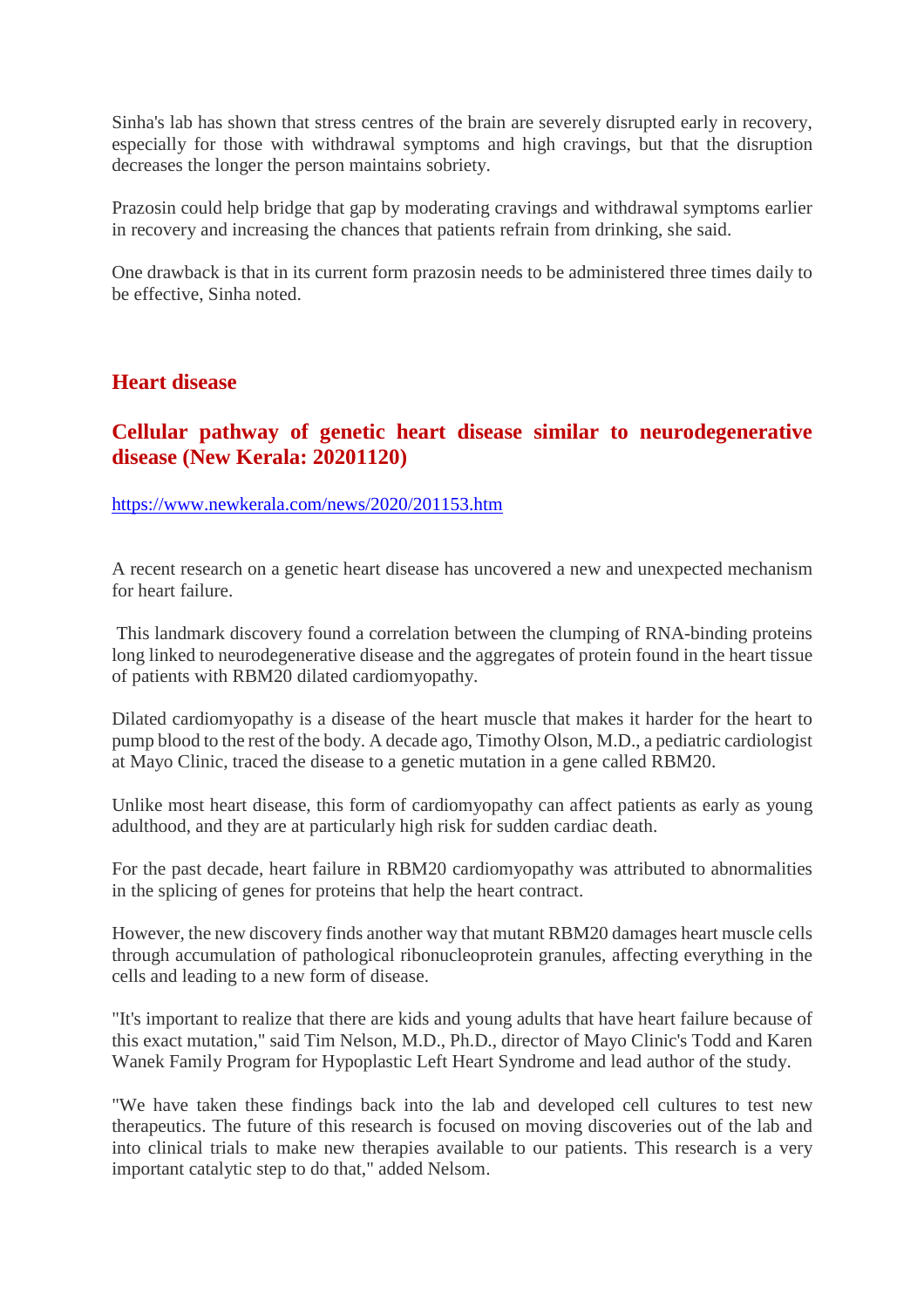Sinha's lab has shown that stress centres of the brain are severely disrupted early in recovery, especially for those with withdrawal symptoms and high cravings, but that the disruption decreases the longer the person maintains sobriety.

Prazosin could help bridge that gap by moderating cravings and withdrawal symptoms earlier in recovery and increasing the chances that patients refrain from drinking, she said.

One drawback is that in its current form prazosin needs to be administered three times daily to be effective, Sinha noted.

#### **Heart disease**

#### **Cellular pathway of genetic heart disease similar to neurodegenerative disease (New Kerala: 20201120)**

#### https://www.newkerala.com/news/2020/201153.htm

A recent research on a genetic heart disease has uncovered a new and unexpected mechanism for heart failure.

This landmark discovery found a correlation between the clumping of RNA-binding proteins long linked to neurodegenerative disease and the aggregates of protein found in the heart tissue of patients with RBM20 dilated cardiomyopathy.

Dilated cardiomyopathy is a disease of the heart muscle that makes it harder for the heart to pump blood to the rest of the body. A decade ago, Timothy Olson, M.D., a pediatric cardiologist at Mayo Clinic, traced the disease to a genetic mutation in a gene called RBM20.

Unlike most heart disease, this form of cardiomyopathy can affect patients as early as young adulthood, and they are at particularly high risk for sudden cardiac death.

For the past decade, heart failure in RBM20 cardiomyopathy was attributed to abnormalities in the splicing of genes for proteins that help the heart contract.

However, the new discovery finds another way that mutant RBM20 damages heart muscle cells through accumulation of pathological ribonucleoprotein granules, affecting everything in the cells and leading to a new form of disease.

"It's important to realize that there are kids and young adults that have heart failure because of this exact mutation," said Tim Nelson, M.D., Ph.D., director of Mayo Clinic's Todd and Karen Wanek Family Program for Hypoplastic Left Heart Syndrome and lead author of the study.

"We have taken these findings back into the lab and developed cell cultures to test new therapeutics. The future of this research is focused on moving discoveries out of the lab and into clinical trials to make new therapies available to our patients. This research is a very important catalytic step to do that," added Nelsom.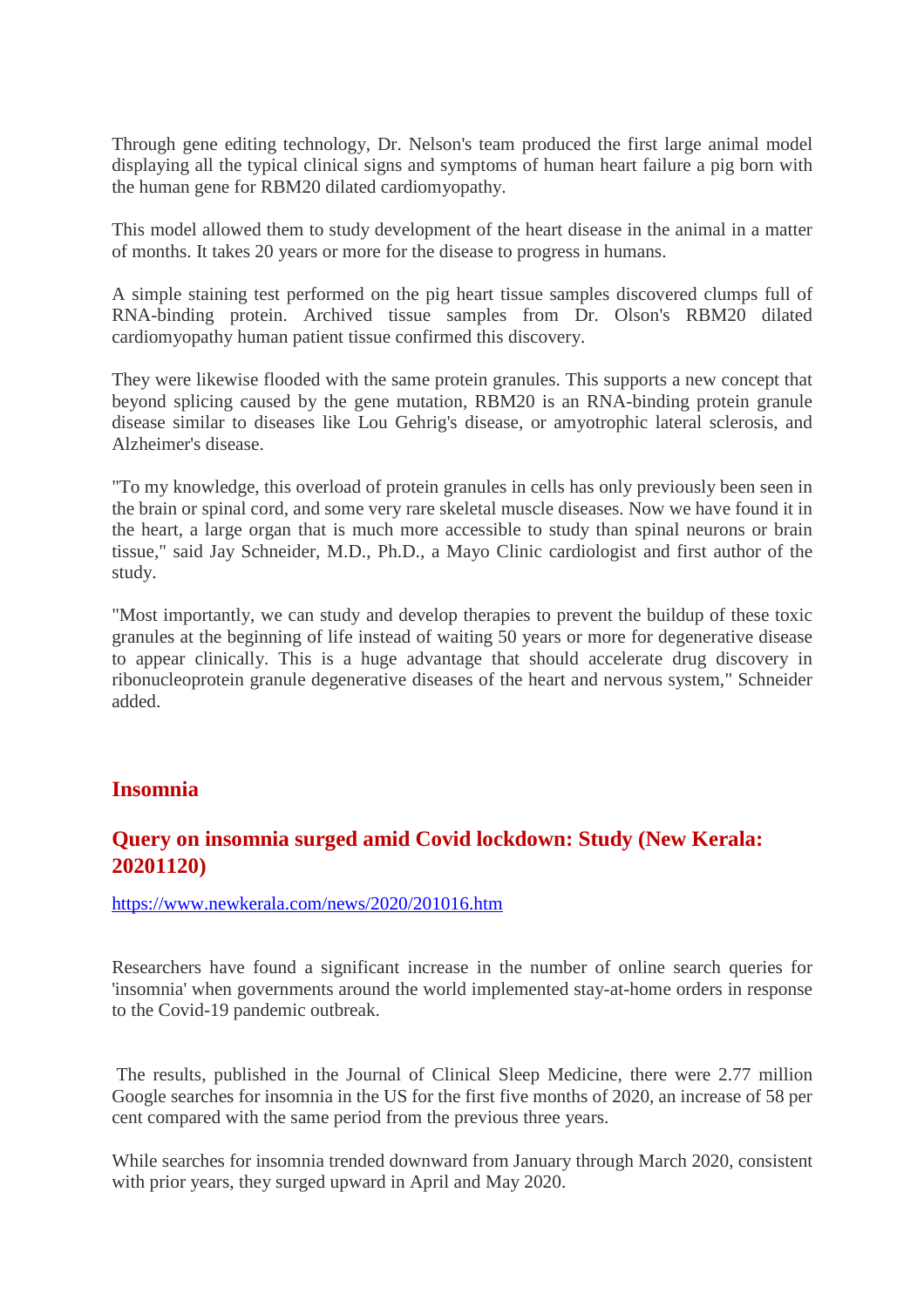Through gene editing technology, Dr. Nelson's team produced the first large animal model displaying all the typical clinical signs and symptoms of human heart failure a pig born with the human gene for RBM20 dilated cardiomyopathy.

This model allowed them to study development of the heart disease in the animal in a matter of months. It takes 20 years or more for the disease to progress in humans.

A simple staining test performed on the pig heart tissue samples discovered clumps full of RNA-binding protein. Archived tissue samples from Dr. Olson's RBM20 dilated cardiomyopathy human patient tissue confirmed this discovery.

They were likewise flooded with the same protein granules. This supports a new concept that beyond splicing caused by the gene mutation, RBM20 is an RNA-binding protein granule disease similar to diseases like Lou Gehrig's disease, or amyotrophic lateral sclerosis, and Alzheimer's disease.

"To my knowledge, this overload of protein granules in cells has only previously been seen in the brain or spinal cord, and some very rare skeletal muscle diseases. Now we have found it in the heart, a large organ that is much more accessible to study than spinal neurons or brain tissue," said Jay Schneider, M.D., Ph.D., a Mayo Clinic cardiologist and first author of the study.

"Most importantly, we can study and develop therapies to prevent the buildup of these toxic granules at the beginning of life instead of waiting 50 years or more for degenerative disease to appear clinically. This is a huge advantage that should accelerate drug discovery in ribonucleoprotein granule degenerative diseases of the heart and nervous system," Schneider added.

#### **Insomnia**

#### **Query on insomnia surged amid Covid lockdown: Study (New Kerala: 20201120)**

https://www.newkerala.com/news/2020/201016.htm

Researchers have found a significant increase in the number of online search queries for 'insomnia' when governments around the world implemented stay-at-home orders in response to the Covid-19 pandemic outbreak.

The results, published in the Journal of Clinical Sleep Medicine, there were 2.77 million Google searches for insomnia in the US for the first five months of 2020, an increase of 58 per cent compared with the same period from the previous three years.

While searches for insomnia trended downward from January through March 2020, consistent with prior years, they surged upward in April and May 2020.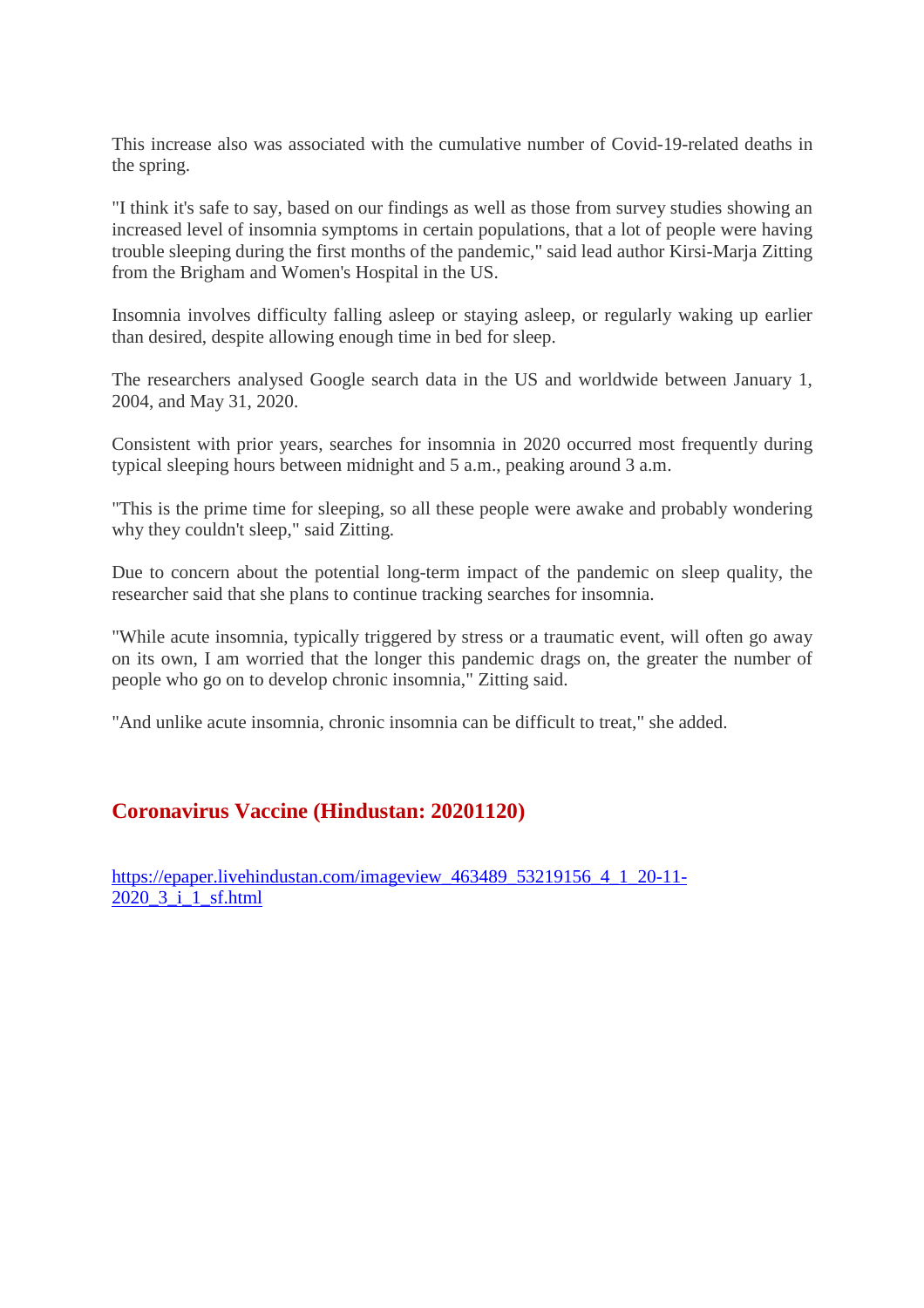This increase also was associated with the cumulative number of Covid-19-related deaths in the spring.

"I think it's safe to say, based on our findings as well as those from survey studies showing an increased level of insomnia symptoms in certain populations, that a lot of people were having trouble sleeping during the first months of the pandemic," said lead author Kirsi-Marja Zitting from the Brigham and Women's Hospital in the US.

Insomnia involves difficulty falling asleep or staying asleep, or regularly waking up earlier than desired, despite allowing enough time in bed for sleep.

The researchers analysed Google search data in the US and worldwide between January 1, 2004, and May 31, 2020.

Consistent with prior years, searches for insomnia in 2020 occurred most frequently during typical sleeping hours between midnight and 5 a.m., peaking around 3 a.m.

"This is the prime time for sleeping, so all these people were awake and probably wondering why they couldn't sleep," said Zitting.

Due to concern about the potential long-term impact of the pandemic on sleep quality, the researcher said that she plans to continue tracking searches for insomnia.

"While acute insomnia, typically triggered by stress or a traumatic event, will often go away on its own, I am worried that the longer this pandemic drags on, the greater the number of people who go on to develop chronic insomnia," Zitting said.

"And unlike acute insomnia, chronic insomnia can be difficult to treat," she added.

#### **Coronavirus Vaccine (Hindustan: 20201120)**

https://epaper.livehindustan.com/imageview 463489 53219156 4 1 20-11-2020\_3\_i\_1\_sf.html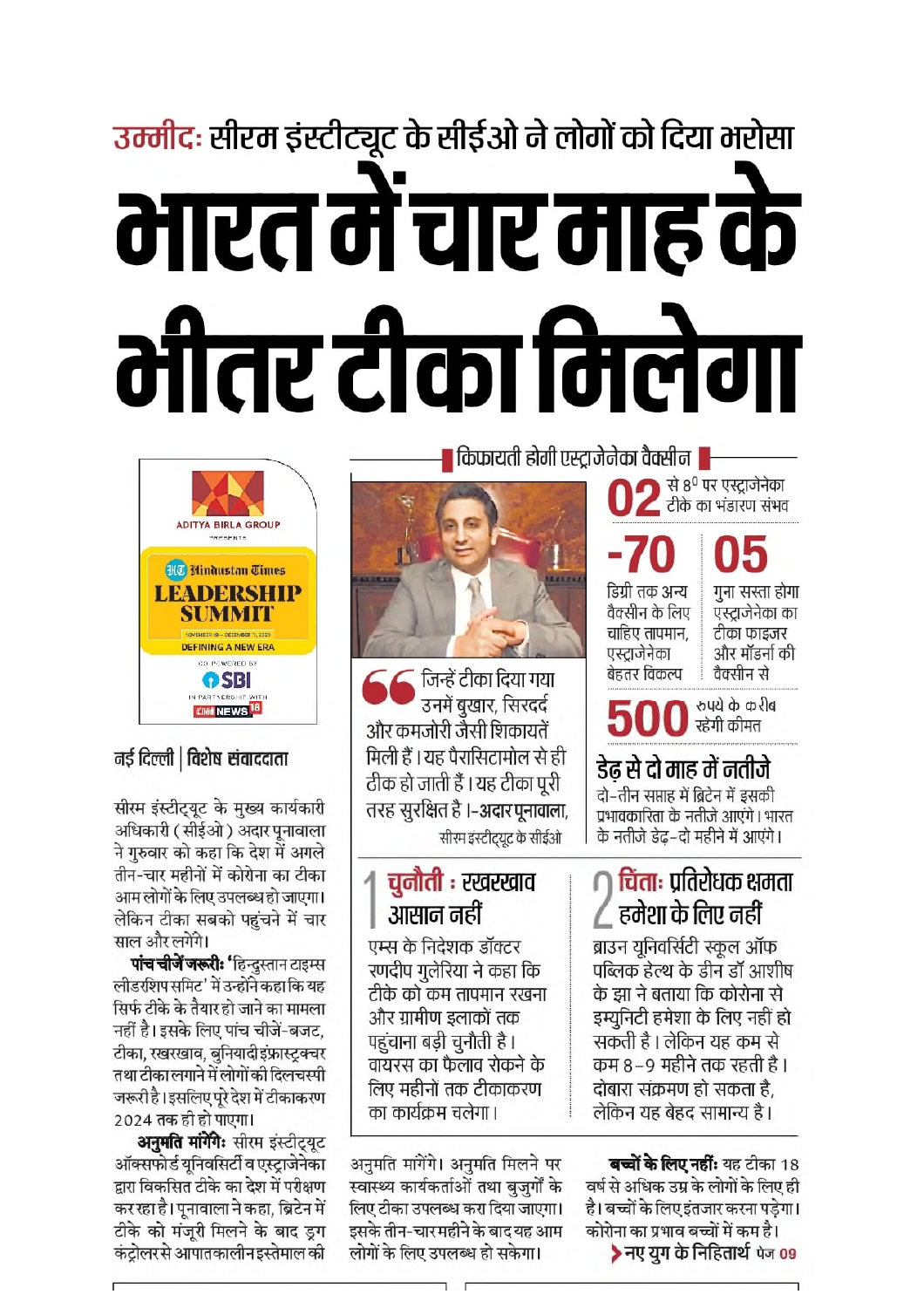# उम्मीदः सीरम इंस्टीट्यूट के सीईओ ने लोगों को दिया भरोसा मारत में चार माह के मीतर टीका मिलेगा



#### नई दिल्ली | विशेष संवाददाता

सीरम इंस्टीट्यूट के मुख्य कार्यकारी अधिकारी (सीईओ) अदार पूनावाला ने गुरुवार को कहा कि देश में अगले तीन-चार महीनों में कोरोना का टीका आम लोगों के लिए उपलब्ध हो जाएगा। लेकिन टीका सबको पहुंचने में चार साल और लगेंगे।

पांच चीजें जरूरी: 'हिन्दुस्तान टाइम्स लीडरशिप समिट' में उन्होंने कहा कि यह सिर्फ टीके के तैयार हो जाने का मामला नहीं है। इसके लिए पांच चीजें-बजट, टीका, रखरखाव, बुनियादीइंफ्रास्ट्रक्चर तथा टीका लगाने में लोगों की दिलचस्पी जरूरी है। इसलिए परे देश में टीकाकरण 2024 तक ही हो पाएगा।

अनुमति मांगेंगे: सीरम इंस्टीट्यूट ऑक्सफोर्ड यूनिवसिटी व एस्ट्राजेनेका द्वारा विकसित टीके का देश में परीक्षण कर रहा है। पूनावाला ने कहा, ब्रिटेन में टीके को मंजूरी मिलने के बाद ड्रग कंटोलर से आपातकालीन इस्तेमाल की

**।** किफायती होगी एस्टाजेनेका वैक्सीन ।

से 8<sup>0</sup> पर एस्ट्राजेनेका टीके का भंडारण संभव

डिग्री तक अन्य वैक्सीन के लिए चाहिए तापमान, एस्ट्राजेनेका बेहतर विकल्प

गुना सस्ता होगा एस्टाजेनेका का टीका फाइजर और मॉडर्ना की वैक्सीन से

05

रुपये के करीब रहेगी कीमत

डेढ़ से दो माह में नतीजे

दो–तीन सप्ताह में बिटेन में इसकी प्रभावकारिता के नतीजे आएंगे। भारत के नतीजे डेढ–दो महीने में आएंगे।

### चिंताः प्रतिरोधक क्षमता हमेशा के लिए नहीं

ब्राउन यनिवर्सिटी स्कल ऑफ पब्लिक हेल्थ के डीन डॉ आशीष के झा ने बताया कि कोरोना से इम्युनिटी हमेशा के लिए नहीं हो सकती है । लेकिन यह कम से कम ८–९ महीने तक रहती है । दोबारा संक्रमण हो सकता है. लेकिन यह बेहद सामान्य है।

#### बच्चों के लिए नहीं: यह टीका 18

वर्ष से अधिक उम्र के लोगों के लिए ही है। बच्चों के लिए इंतजार करना पड़ेगा। कोरोना का प्रभाव बच्चों में कम है। ▶नए युग के निहितार्थ पेज 09



जिन्हें टीका दिया गया उनमें बुखार, सिरदर्द और कमजोरी जैसी शिकायतें मिली हैं। यह पैरासिटामोल से ही ठीक हो जाती हैं । यह टीका परी तरह सुरक्षित है ।-अदार पुनावाला, सीरम इंस्टीटयूट के सीईओ

## चुनौती : रखरखाव आसान नहीं

एम्स के निदेशक डॉक्टर रणदीप गुलेरिया ने कहा कि टीके को कम तापमान रखना और ग्रामीण डलाकों तक पहुंचाना बड़ी चुनौती है। वायरस का फैलाव रोकने के लिए महीनों तक टीकाकरण का कार्यक्रम चलेगा ।

अनुमति मांगेंगे। अनुमति मिलने पर स्वास्थ्य कार्यकर्ताओं तथा बजुर्गों के लिए टीका उपलब्ध करा दिया जाएगा। इसके तीन-चारमहीने के बाद यह आम लोगों के लिए उपलब्ध हो सकेगा।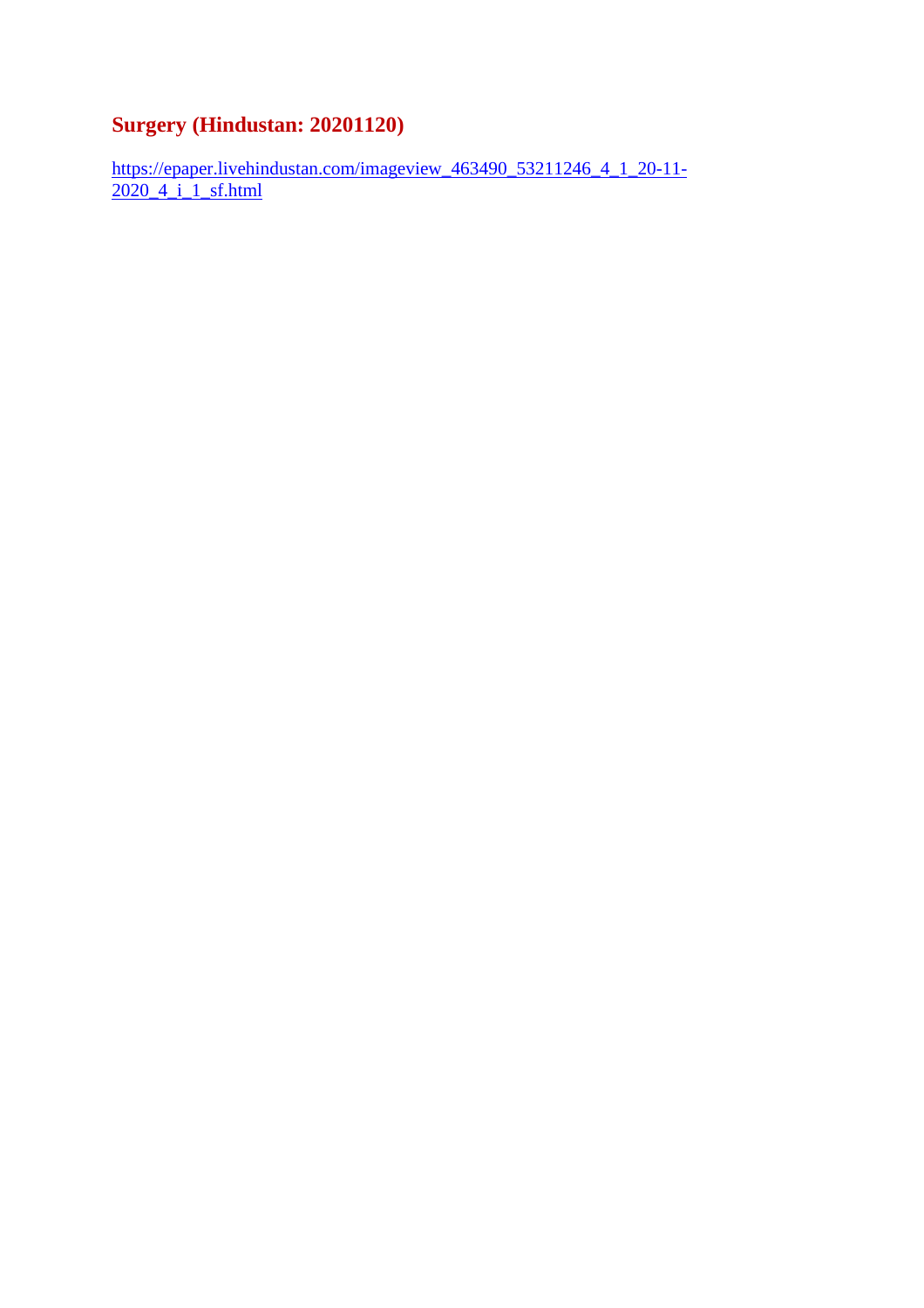### **Surgery (Hindustan: 20201120)**

https://epaper.livehindustan.com/imageview\_463490\_53211246\_4\_1\_20-11-2020\_4\_i\_1\_sf.html